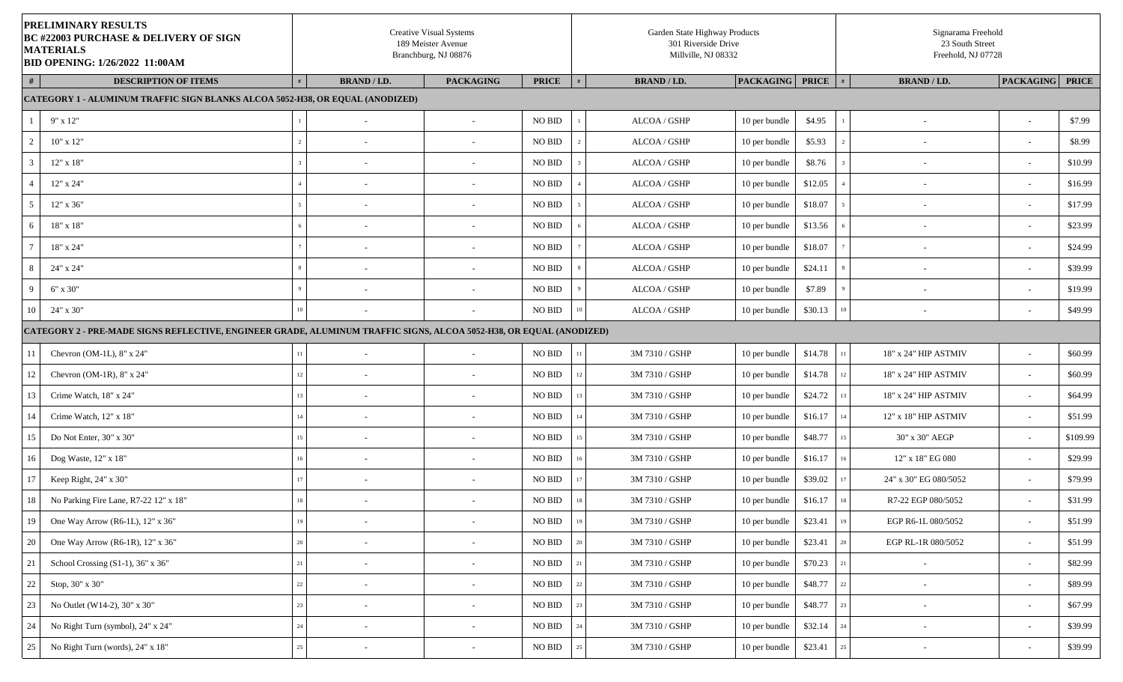|        | <b>PRELIMINARY RESULTS</b><br><b>BC #22003 PURCHASE &amp; DELIVERY OF SIGN</b><br><b>MATERIALS</b><br><b>BID OPENING: 1/26/2022 11:00AM</b> |    |                          | <b>Creative Visual Systems</b><br>189 Meister Avenue<br>Branchburg, NJ 08876 |                    | Garden State Highway Products<br>301 Riverside Drive<br>Millville, NJ 08332 |                        |         |                  | Signarama Freehold<br>23 South Street<br>Freehold, NJ 07728 |                          |          |
|--------|---------------------------------------------------------------------------------------------------------------------------------------------|----|--------------------------|------------------------------------------------------------------------------|--------------------|-----------------------------------------------------------------------------|------------------------|---------|------------------|-------------------------------------------------------------|--------------------------|----------|
|        | <b>DESCRIPTION OF ITEMS</b>                                                                                                                 |    | <b>BRAND / I.D.</b>      | <b>PACKAGING</b>                                                             | <b>PRICE</b>       | <b>BRAND / I.D.</b>                                                         | <b>PACKAGING</b> PRICE |         | #                | <b>BRAND / I.D.</b>                                         | <b>PACKAGING PRICE</b>   |          |
|        | <b>CATEGORY 1 - ALUMINUM TRAFFIC SIGN BLANKS ALCOA 5052-H38, OR EQUAL (ANODIZED)</b>                                                        |    |                          |                                                                              |                    |                                                                             |                        |         |                  |                                                             |                          |          |
|        | $9" \times 12"$                                                                                                                             |    | $\sim$                   | $\overline{\phantom{a}}$                                                     | <b>NO BID</b>      | ALCOA / GSHP                                                                | 10 per bundle          | \$4.95  |                  | $\overline{\phantom{a}}$                                    | $\overline{\phantom{a}}$ | \$7.99   |
|        | $10"$ x $12"$                                                                                                                               |    | $\sim$                   | $\overline{\phantom{a}}$                                                     | <b>NO BID</b>      | ALCOA / GSHP                                                                | 10 per bundle          | \$5.93  |                  | $\overline{\phantom{a}}$                                    | $\sim$                   | \$8.99   |
|        | $12"$ x $18"$                                                                                                                               |    | $\sim$                   | $\overline{\phantom{a}}$                                                     | <b>NO BID</b>      | ALCOA / GSHP                                                                | 10 per bundle          | \$8.76  |                  | $\overline{\phantom{a}}$                                    | $\sim$                   | \$10.99  |
|        | 12" x 24"                                                                                                                                   |    | $\sim$                   | $\overline{\phantom{a}}$                                                     | <b>NO BID</b>      | ALCOA / GSHP                                                                | 10 per bundle          | \$12.05 |                  |                                                             | $\overline{\phantom{a}}$ | \$16.99  |
|        | $12"$ x 36"                                                                                                                                 |    | $\sim$                   | $\overline{\phantom{a}}$                                                     | <b>NO BID</b>      | ALCOA / GSHP                                                                | 10 per bundle          | \$18.07 |                  | $\overline{\phantom{a}}$                                    | $\sim$                   | \$17.99  |
|        | 18" x 18"                                                                                                                                   |    |                          | $\overline{\phantom{a}}$                                                     | <b>NO BID</b>      | ALCOA / GSHP                                                                | 10 per bundle          | \$13.56 |                  |                                                             | $\overline{\phantom{a}}$ | \$23.99  |
|        | 18" x 24"                                                                                                                                   |    | $\sim$                   | $\overline{\phantom{a}}$                                                     | <b>NO BID</b>      | ALCOA / GSHP                                                                | 10 per bundle          | \$18.07 |                  | $\overline{\phantom{a}}$                                    | $\sim$                   | \$24.99  |
|        | 24" x 24"                                                                                                                                   |    | $\overline{\phantom{a}}$ | $\overline{\phantom{a}}$                                                     | <b>NO BID</b>      | ALCOA / GSHP                                                                | 10 per bundle          | \$24.11 |                  | $\overline{\phantom{a}}$                                    | $\overline{\phantom{a}}$ | \$39.99  |
|        | $6" \times 30"$                                                                                                                             |    | $\sim$                   | $\overline{\phantom{a}}$                                                     | <b>NO BID</b>      | ALCOA / GSHP                                                                | 10 per bundle          | \$7.89  |                  | $\overline{\phantom{a}}$                                    | $\sim$                   | \$19.99  |
| 10     | 24" x 30"                                                                                                                                   | 10 |                          |                                                                              | <b>NO BID</b>      | ALCOA / GSHP                                                                | 10 per bundle          | \$30.13 | 10 <sup>10</sup> |                                                             | $\sim$                   | \$49.99  |
|        | CATEGORY 2 - PRE-MADE SIGNS REFLECTIVE, ENGINEER GRADE, ALUMINUM TRAFFIC SIGNS, ALCOA 5052-H38, OR EQUAL (ANODIZED)                         |    |                          |                                                                              |                    |                                                                             |                        |         |                  |                                                             |                          |          |
| 11     | Chevron (OM-1L), $8"$ x 24"                                                                                                                 | 11 | $\sim$                   |                                                                              | <b>NO BID</b>      | 3M 7310 / GSHP                                                              | 10 per bundle          | \$14.78 | 11               | 18" x 24" HIP ASTMIV                                        | $\sim$                   | \$60.99  |
| 12     | Chevron (OM-1R), $8" \times 24"$                                                                                                            |    | $\sim$                   | $\overline{\phantom{a}}$                                                     | NO BID             | 3M 7310 / GSHP                                                              | 10 per bundle          | \$14.78 | 12               | 18" x 24" HIP ASTMIV                                        | $\sim$                   | \$60.99  |
| 13     | Crime Watch, 18" x 24"                                                                                                                      |    | $\sim$                   | $\overline{\phantom{a}}$                                                     | NO BID             | 3M 7310 / GSHP                                                              | 10 per bundle          | \$24.72 | 13               | 18" x 24" HIP ASTMIV                                        | $\sim$                   | \$64.99  |
| 14     | Crime Watch, 12" x 18"                                                                                                                      | 14 | $\sim$                   | $\sim$                                                                       | <b>NO BID</b>      | 3M 7310 / GSHP                                                              | 10 per bundle          | \$16.17 | 14               | 12" x 18" HIP ASTMIV                                        | $\sim$                   | \$51.99  |
| 15     | Do Not Enter, 30" x 30"                                                                                                                     |    | $\sim$                   | $\overline{\phantom{a}}$                                                     | <b>NO BID</b>      | 3M 7310 / GSHP                                                              | 10 per bundle          | \$48.77 | 15               | 30" x 30" AEGP                                              | $\sim$                   | \$109.99 |
| 16     | Dog Waste, 12" x 18"                                                                                                                        |    | $\overline{\phantom{a}}$ | $\overline{\phantom{a}}$                                                     | <b>NO BID</b>      | 3M 7310 / GSHP                                                              | 10 per bundle          | \$16.17 | 16               | 12" x 18" EG 080                                            | $\sim$                   | \$29.99  |
| 17     | Keep Right, 24" x 30"                                                                                                                       |    | $\overline{\phantom{a}}$ | $\overline{\phantom{a}}$                                                     | <b>NO BID</b>      | 3M 7310 / GSHP                                                              | 10 per bundle          | \$39.02 | 17               | 24" x 30" EG 080/5052                                       | $\sim$                   | \$79.99  |
| 18     | No Parking Fire Lane, R7-22 12" x 18"                                                                                                       | 18 |                          |                                                                              | <b>NO BID</b>      | 3M 7310 / GSHP                                                              | 10 per bundle          | \$16.17 | 18               | R7-22 EGP 080/5052                                          | $\sim$                   | \$31.99  |
| 19     | One Way Arrow (R6-1L), 12" x 36"                                                                                                            | 19 | $\overline{\phantom{a}}$ | $\overline{\phantom{a}}$                                                     | $\rm NO$ $\rm BID$ | 3M 7310 / GSHP                                                              | 10 per bundle          | \$23.41 | $19\,$           | EGP R6-1L 080/5052                                          | $\overline{\phantom{a}}$ | \$51.99  |
| 20     | One Way Arrow (R6-1R), 12" x 36"                                                                                                            | 20 | $\sim$                   | $\overline{\phantom{a}}$                                                     | $\rm NO$ $\rm BID$ | 3M 7310 / GSHP                                                              | 10 per bundle          | \$23.41 | 20               | EGP RL-1R 080/5052                                          | $\sim$                   | \$51.99  |
| 21     | School Crossing $(S1-1)$ , 36" x 36"                                                                                                        | 21 | $\sim$                   | $\overline{\phantom{a}}$                                                     | NO BID             | 3M 7310 / GSHP                                                              | 10 per bundle          | \$70.23 | 21               |                                                             | $\sim$                   | \$82.99  |
| $22\,$ | Stop, 30" x 30"                                                                                                                             | 22 | $\blacksquare$           | $\blacksquare$                                                               | $\rm NO$ $\rm BID$ | 3M 7310 / GSHP                                                              | 10 per bundle          | \$48.77 | $22\,$           | $\overline{\phantom{a}}$                                    | $\sim$                   | \$89.99  |
| 23     | No Outlet (W14-2), 30" x 30"                                                                                                                | 23 | $\overline{\phantom{a}}$ | $\overline{\phantom{a}}$                                                     | NO BID             | 3M 7310 / GSHP                                                              | 10 per bundle          | \$48.77 | 23               | $\overline{\phantom{a}}$                                    | $\overline{\phantom{a}}$ | \$67.99  |
| 24     | No Right Turn (symbol), 24" x 24"                                                                                                           | 24 | $\sim$                   | $\overline{\phantom{a}}$                                                     | NO BID             | 3M 7310 / GSHP                                                              | 10 per bundle          | \$32.14 | 24               | $\overline{\phantom{a}}$                                    | $\overline{\phantom{a}}$ | \$39.99  |
| 25     | No Right Turn (words), 24" x 18"                                                                                                            | 25 | $\overline{\phantom{a}}$ | $\overline{\phantom{a}}$                                                     | NO BID             | 3M 7310 / GSHP                                                              | 10 per bundle          | \$23.41 | $25\,$           |                                                             | $\overline{\phantom{a}}$ | \$39.99  |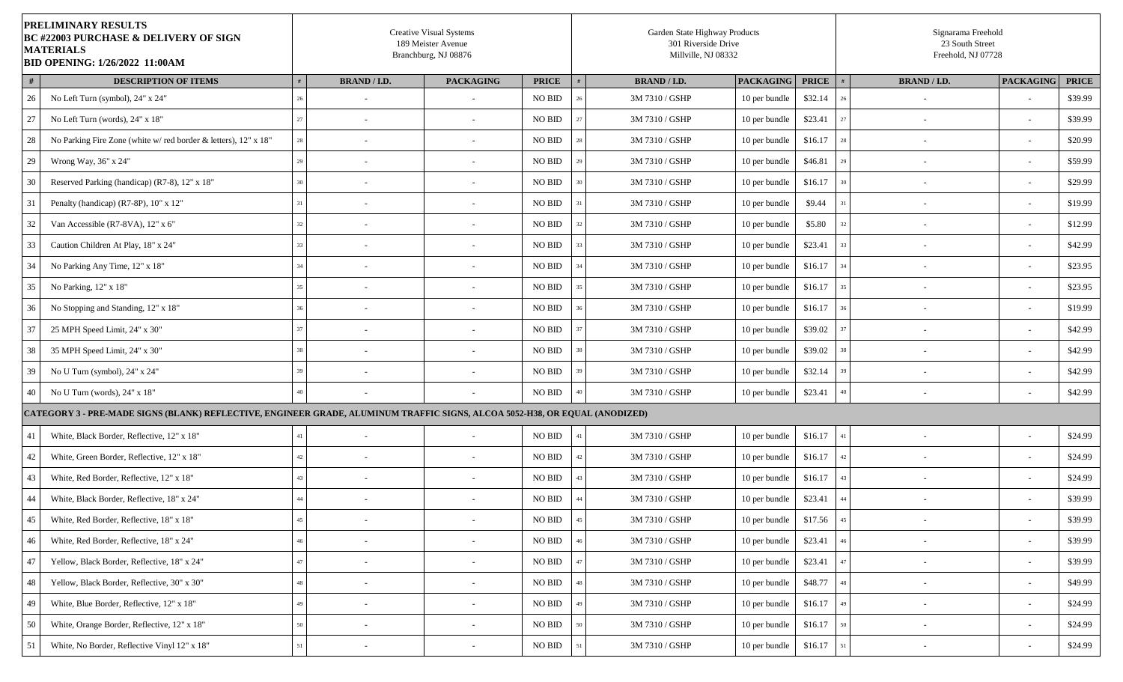|    | PRELIMINARY RESULTS<br><b>BC #22003 PURCHASE &amp; DELIVERY OF SIGN</b><br><b>MATERIALS</b><br><b>BID OPENING: 1/26/2022 11:00AM</b> |        |                          | <b>Creative Visual Systems</b><br>189 Meister Avenue<br>Branchburg, NJ 08876 |                    |    | Garden State Highway Products<br>301 Riverside Drive<br>Millville, NJ 08332 |                  |              |        | Signarama Freehold<br>23 South Street<br>Freehold, NJ 07728 |                          |              |
|----|--------------------------------------------------------------------------------------------------------------------------------------|--------|--------------------------|------------------------------------------------------------------------------|--------------------|----|-----------------------------------------------------------------------------|------------------|--------------|--------|-------------------------------------------------------------|--------------------------|--------------|
| #  | <b>DESCRIPTION OF ITEMS</b>                                                                                                          |        | <b>BRAND / I.D.</b>      | <b>PACKAGING</b>                                                             | <b>PRICE</b>       |    | <b>BRAND / I.D.</b>                                                         | <b>PACKAGING</b> | <b>PRICE</b> |        | <b>BRAND / I.D.</b>                                         | <b>PACKAGING</b>         | <b>PRICE</b> |
| 26 | No Left Turn (symbol), 24" x 24"                                                                                                     |        |                          |                                                                              | <b>NO BID</b>      |    | 3M 7310 / GSHP                                                              | 10 per bundle    | \$32.14      |        |                                                             |                          | \$39.99      |
| 27 | No Left Turn (words), 24" x 18"                                                                                                      | 27     |                          |                                                                              | <b>NO BID</b>      |    | 3M 7310 / GSHP                                                              | 10 per bundle    | \$23.41      | 27     |                                                             | $\overline{\phantom{a}}$ | \$39.99      |
| 28 | No Parking Fire Zone (white w/red border & letters), 12" x 18"                                                                       | 28     | $\sim$                   |                                                                              | NO BID             |    | 3M 7310 / GSHP                                                              | 10 per bundle    | \$16.17      | 28     |                                                             | $\sim$                   | \$20.99      |
| 29 | Wrong Way, 36" x 24"                                                                                                                 |        |                          |                                                                              | NO BID             |    | 3M 7310 / GSHP                                                              | 10 per bundle    | \$46.81      | 29     |                                                             | $\overline{\phantom{a}}$ | \$59.99      |
| 30 | Reserved Parking (handicap) (R7-8), 12" x 18"                                                                                        |        | $\sim$                   | $\overline{\phantom{a}}$                                                     | <b>NO BID</b>      |    | 3M 7310 / GSHP                                                              | 10 per bundle    | \$16.17      | 30     | $\overline{\phantom{a}}$                                    | $\sim$                   | \$29.99      |
| 31 | Penalty (handicap) (R7-8P), 10" x 12"                                                                                                |        |                          |                                                                              | <b>NO BID</b>      |    | 3M 7310 / GSHP                                                              | 10 per bundle    | \$9.44       |        |                                                             | $\sim$                   | \$19.99      |
| 32 | Van Accessible (R7-8VA), 12" x 6"                                                                                                    |        | $\overline{\phantom{a}}$ | $\sim$                                                                       | <b>NO BID</b>      |    | 3M 7310 / GSHP                                                              | 10 per bundle    | \$5.80       | 32     |                                                             | $\overline{\phantom{a}}$ | \$12.99      |
| 33 | Caution Children At Play, 18" x 24"                                                                                                  |        |                          |                                                                              | <b>NO BID</b>      |    | 3M 7310 / GSHP                                                              | 10 per bundle    | \$23.41      | 33     |                                                             | $\overline{\phantom{a}}$ | \$42.99      |
| 34 | No Parking Any Time, 12" x 18"                                                                                                       | 34     |                          |                                                                              | <b>NO BID</b>      |    | 3M 7310 / GSHP                                                              | 10 per bundle    | \$16.17      | 34     |                                                             | $\overline{\phantom{a}}$ | \$23.95      |
| 35 | No Parking, 12" x 18"                                                                                                                |        | $\sim$                   |                                                                              | <b>NO BID</b>      |    | 3M 7310 / GSHP                                                              | 10 per bundle    | \$16.17      | 35     |                                                             | $\sim$                   | \$23.95      |
| 36 | No Stopping and Standing, 12" x 18"                                                                                                  |        | $\overline{\phantom{a}}$ | $\overline{\phantom{0}}$                                                     | <b>NO BID</b>      |    | 3M 7310 / GSHP                                                              | 10 per bundle    | \$16.17      | 36     | $\overline{\phantom{a}}$                                    | $\overline{\phantom{a}}$ | \$19.99      |
| 37 | 25 MPH Speed Limit, 24" x 30"                                                                                                        |        | ٠                        |                                                                              | <b>NO BID</b>      |    | 3M 7310 / GSHP                                                              | 10 per bundle    | \$39.02      | 37     |                                                             | $\sim$                   | \$42.99      |
| 38 | 35 MPH Speed Limit, 24" x 30"                                                                                                        |        |                          | $\overline{\phantom{a}}$                                                     | <b>NO BID</b>      |    | 3M 7310 / GSHP                                                              | 10 per bundle    | \$39.02      |        |                                                             | $\sim$                   | \$42.99      |
| 39 | No U Turn (symbol), 24" x 24"                                                                                                        |        | $\sim$                   | $\sim$                                                                       | <b>NO BID</b>      |    | 3M 7310 / GSHP                                                              | 10 per bundle    | \$32.14      |        |                                                             | $\overline{\phantom{a}}$ | \$42.99      |
| 40 | No U Turn (words), 24" x 18"                                                                                                         |        |                          |                                                                              | <b>NO BID</b>      |    | 3M 7310 / GSHP                                                              | 10 per bundle    | \$23.41      | 40     |                                                             | $\overline{\phantom{a}}$ | \$42.99      |
|    | CATEGORY 3 - PRE-MADE SIGNS (BLANK) REFLECTIVE, ENGINEER GRADE, ALUMINUM TRAFFIC SIGNS, ALCOA 5052-H38, OR EQUAL (ANODIZED)          |        |                          |                                                                              |                    |    |                                                                             |                  |              |        |                                                             |                          |              |
| 41 | White, Black Border, Reflective, 12" x 18"                                                                                           |        |                          |                                                                              | NO BID             |    | 3M 7310 / GSHP                                                              | 10 per bundle    | \$16.17      | 41     |                                                             | $\sim$                   | \$24.99      |
| 42 | White, Green Border, Reflective, 12" x 18"                                                                                           |        |                          |                                                                              | <b>NO BID</b>      |    | 3M 7310 / GSHP                                                              | 10 per bundle    | \$16.17      | 42     |                                                             | $\overline{\phantom{a}}$ | \$24.99      |
| 43 | White, Red Border, Reflective, 12" x 18"                                                                                             |        | $\overline{\phantom{a}}$ | $\overline{\phantom{a}}$                                                     | $\rm NO$ $\rm BID$ |    | 3M 7310 / GSHP                                                              | 10 per bundle    | \$16.17      | 43     |                                                             | $\sim$                   | \$24.99      |
| 44 | White, Black Border, Reflective, 18" x 24"                                                                                           |        |                          |                                                                              | NO BID             |    | 3M 7310 / GSHP                                                              | 10 per bundle    | \$23.41      | 44     |                                                             | $\sim$                   | \$39.99      |
| 45 | White, Red Border, Reflective, 18" x 18"                                                                                             | 45     |                          | $\overline{\phantom{a}}$                                                     | $\rm NO$ $\rm BID$ | 45 | 3M 7310 / GSHP                                                              | 10 per bundle    | \$17.56      | $45\,$ |                                                             | $\overline{\phantom{a}}$ | \$39.99      |
| 46 | White, Red Border, Reflective, 18" x 24"                                                                                             | $46\,$ | $\overline{\phantom{a}}$ | $\overline{\phantom{a}}$                                                     | NO BID             |    | 3M 7310 / GSHP                                                              | 10 per bundle    | \$23.41      | 46     | $\overline{\phantom{a}}$                                    | $\overline{\phantom{a}}$ | \$39.99      |
| 47 | Yellow, Black Border, Reflective, 18" x 24"                                                                                          | 47     | $\blacksquare$           | $\blacksquare$                                                               | NO BID             | 47 | 3M 7310 / GSHP                                                              | 10 per bundle    | \$23.41      | 47     | $\sim$                                                      | $\sim$                   | \$39.99      |
| 48 | Yellow, Black Border, Reflective, 30" x 30"                                                                                          | 48     | $\overline{\phantom{a}}$ | $\overline{\phantom{a}}$                                                     | NO BID             |    | 3M 7310 / GSHP                                                              | 10 per bundle    | \$48.77      | 48     | $\sim$                                                      | $\sim$                   | \$49.99      |
| 49 | White, Blue Border, Reflective, 12" x 18"                                                                                            | 49     | $\sim$                   | $\overline{\phantom{a}}$                                                     | NO BID             |    | 3M 7310 / GSHP                                                              | 10 per bundle    | \$16.17      | 49     | $\overline{\phantom{a}}$                                    | $\overline{\phantom{a}}$ | \$24.99      |
| 50 | White, Orange Border, Reflective, 12" x 18"                                                                                          | 50     | $\blacksquare$           | $\overline{\phantom{a}}$                                                     | NO BID             |    | 3M 7310 / GSHP                                                              | 10 per bundle    | \$16.17      | 50     | $\sim$                                                      | $\sim$                   | \$24.99      |
| 51 | White, No Border, Reflective Vinyl 12" x 18"                                                                                         | 51     | $\overline{\phantom{a}}$ | $\sim$                                                                       | $\rm NO$ $\rm BID$ |    | 3M 7310 / GSHP                                                              | 10 per bundle    | \$16.17      | 51     | $\sim$                                                      | $\sim$                   | \$24.99      |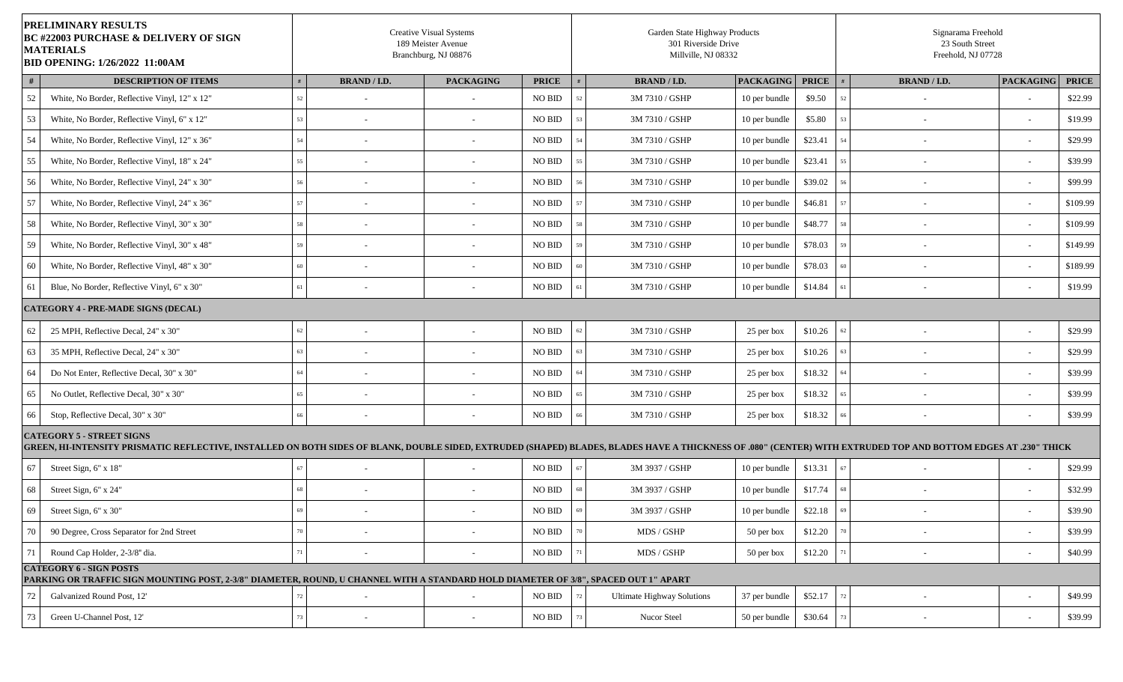| <b>PRELIMINARY RESULTS</b><br><b>BC #22003 PURCHASE &amp; DELIVERY OF SIGN</b><br><b>MATERIALS</b><br><b>BID OPENING: 1/26/2022 11:00AM</b>                                                                                                         |    |                          | <b>Creative Visual Systems</b><br>189 Meister Avenue<br>Branchburg, NJ 08876 |                    | Garden State Highway Products<br>301 Riverside Drive<br>Millville, NJ 08332 |                  |              |    | Signarama Freehold<br>23 South Street<br>Freehold, NJ 07728 |                          |              |
|-----------------------------------------------------------------------------------------------------------------------------------------------------------------------------------------------------------------------------------------------------|----|--------------------------|------------------------------------------------------------------------------|--------------------|-----------------------------------------------------------------------------|------------------|--------------|----|-------------------------------------------------------------|--------------------------|--------------|
| #<br><b>DESCRIPTION OF ITEMS</b>                                                                                                                                                                                                                    |    | <b>BRAND / I.D.</b>      | <b>PACKAGING</b>                                                             | <b>PRICE</b>       | <b>BRAND / I.D.</b>                                                         | <b>PACKAGING</b> | <b>PRICE</b> |    | <b>BRAND / I.D.</b>                                         | <b>PACKAGING</b>         | <b>PRICE</b> |
| 52<br>White, No Border, Reflective Vinyl, 12" x 12"                                                                                                                                                                                                 |    |                          |                                                                              | NO BID             | 3M 7310 / GSHP                                                              | 10 per bundle    | \$9.50       | 52 |                                                             |                          | \$22.99      |
| 53<br>White, No Border, Reflective Vinyl, 6" x 12"                                                                                                                                                                                                  |    |                          |                                                                              | NO BID             | 3M 7310 / GSHP                                                              | 10 per bundle    | \$5.80       | 53 |                                                             | $\sim$                   | \$19.99      |
| 54<br>White, No Border, Reflective Vinyl, 12" x 36"                                                                                                                                                                                                 |    | $\sim$                   | $\sim$                                                                       | NO BID             | 3M 7310 / GSHP                                                              | 10 per bundle    | \$23.41      | 54 | $\overline{\phantom{a}}$                                    | $\sim$                   | \$29.99      |
| 55<br>White, No Border, Reflective Vinyl, 18" x 24"                                                                                                                                                                                                 |    |                          |                                                                              | NO BID             | 3M 7310 / GSHP                                                              | 10 per bundle    | \$23.41      | 55 |                                                             | $\overline{\phantom{a}}$ | \$39.99      |
| 56<br>White, No Border, Reflective Vinyl, 24" x 30"                                                                                                                                                                                                 |    |                          |                                                                              | NO BID             | 3M 7310 / GSHP                                                              | 10 per bundle    | \$39.02      |    |                                                             | $\sim$                   | \$99.99      |
| 57<br>White, No Border, Reflective Vinyl, 24" x 36"                                                                                                                                                                                                 |    |                          |                                                                              | NO BID             | 3M 7310 / GSHP                                                              | 10 per bundle    | \$46.81      | 57 |                                                             | $\overline{\phantom{a}}$ | \$109.99     |
| 58<br>White, No Border, Reflective Vinyl, 30" x 30"                                                                                                                                                                                                 |    | $\sim$                   | $\overline{\phantom{a}}$                                                     | NO BID             | 3M 7310 / GSHP                                                              | 10 per bundle    | \$48.77      | 58 | $\overline{\phantom{a}}$                                    | $\sim$                   | \$109.99     |
| 59<br>White, No Border, Reflective Vinyl, 30" x 48"                                                                                                                                                                                                 |    |                          |                                                                              | NO BID             | 3M 7310 / GSHP                                                              | 10 per bundle    | \$78.03      | 59 |                                                             | $\overline{\phantom{a}}$ | \$149.99     |
| 60<br>White, No Border, Reflective Vinyl, 48" x 30"                                                                                                                                                                                                 |    | $\overline{\phantom{0}}$ |                                                                              | NO BID             | 3M 7310 / GSHP                                                              | 10 per bundle    | \$78.03      | 60 |                                                             | $\overline{\phantom{a}}$ | \$189.99     |
| Blue, No Border, Reflective Vinyl, 6" x 30"<br>61                                                                                                                                                                                                   |    | $\sim$                   | $\sim$                                                                       | NO BID             | 3M 7310 / GSHP                                                              | 10 per bundle    | \$14.84      | 61 |                                                             | $\sim$                   | \$19.99      |
| <b>CATEGORY 4 - PRE-MADE SIGNS (DECAL)</b>                                                                                                                                                                                                          |    |                          |                                                                              |                    |                                                                             |                  |              |    |                                                             |                          |              |
| 62<br>25 MPH, Reflective Decal, 24" x 30"                                                                                                                                                                                                           | 62 |                          |                                                                              | NO BID             | 3M 7310 / GSHP                                                              | 25 per box       | \$10.26      | 62 |                                                             | $\sim$                   | \$29.99      |
| 63<br>35 MPH, Reflective Decal, 24" x 30"                                                                                                                                                                                                           |    |                          | $\sim$                                                                       | NO BID             | 3M 7310 / GSHP                                                              | 25 per box       | \$10.26      | 63 |                                                             | $\overline{\phantom{a}}$ | \$29.99      |
| 64<br>Do Not Enter, Reflective Decal, 30" x 30"                                                                                                                                                                                                     |    | ٠                        |                                                                              | NO BID             | 3M 7310 / GSHP                                                              | 25 per box       | \$18.32      | 64 | $\overline{\phantom{0}}$                                    | $\sim$                   | \$39.99      |
| 65<br>No Outlet, Reflective Decal, 30" x 30"                                                                                                                                                                                                        |    |                          |                                                                              | NO BID             | 3M 7310 / GSHP                                                              | 25 per box       | \$18.32      | 65 |                                                             | $\overline{\phantom{a}}$ | \$39.99      |
| 66<br>Stop, Reflective Decal, 30" x 30"                                                                                                                                                                                                             | 66 | $\overline{\phantom{a}}$ | $\overline{\phantom{a}}$                                                     | NO BID             | 3M 7310 / GSHP                                                              | 25 per box       | \$18.32      |    |                                                             | $\sim$                   | \$39.99      |
| <b>CATEGORY 5 - STREET SIGNS</b><br>GREEN, HI-INTENSITY PRISMATIC REFLECTIVE, INSTALLED ON BOTH SIDES OF BLANK, DOUBLE SIDED, EXTRUDED (SHAPED) BLADES, BLADES HAVE A THICKNESS OF .080" (CENTER) WITH EXTRUDED TOP AND BOTTOM EDGES AT .230" THICK |    |                          |                                                                              |                    |                                                                             |                  |              |    |                                                             |                          |              |
| 67<br>Street Sign, 6" x 18"                                                                                                                                                                                                                         |    |                          | $\sim$                                                                       | NO BID             | 3M 3937 / GSHP                                                              | 10 per bundle    | \$13.31      | 67 | $\overline{a}$                                              | $\sim$                   | \$29.99      |
| 68<br>Street Sign, 6" x 24"                                                                                                                                                                                                                         |    |                          |                                                                              | NO BID             | 3M 3937 / GSHP                                                              | 10 per bundle    | \$17.74      |    |                                                             | $\overline{\phantom{a}}$ | \$32.99      |
| 69<br>Street Sign, 6" x 30"                                                                                                                                                                                                                         |    |                          |                                                                              | NO BID             | 3M 3937 / GSHP                                                              | 10 per bundle    | \$22.18      | 69 | $\overline{\phantom{0}}$                                    | $\sim$                   | \$39.90      |
| 70<br>90 Degree, Cross Separator for 2nd Street                                                                                                                                                                                                     |    | $\overline{\phantom{0}}$ |                                                                              | NO BID             | MDS / GSHP                                                                  | 50 per box       | \$12.20      | 70 | $\overline{\phantom{a}}$                                    | $\overline{\phantom{a}}$ | \$39.99      |
| 71<br>Round Cap Holder, 2-3/8" dia.                                                                                                                                                                                                                 |    | $\sim$                   |                                                                              | NO BID             | MDS / GSHP                                                                  | 50 per box       | \$12.20      | 71 |                                                             | $\overline{\phantom{a}}$ | \$40.99      |
| <b>CATEGORY 6 - SIGN POSTS</b><br>PARKING OR TRAFFIC SIGN MOUNTING POST, 2-3/8" DIAMETER, ROUND, U CHANNEL WITH A STANDARD HOLD DIAMETER OF 3/8", SPACED OUT 1" APART                                                                               |    |                          |                                                                              |                    |                                                                             |                  |              |    |                                                             |                          |              |
| 72<br>Galvanized Round Post, 12'                                                                                                                                                                                                                    |    |                          |                                                                              | $\rm NO$ $\rm BID$ | <b>Ultimate Highway Solutions</b>                                           | 37 per bundle    | \$52.17      |    |                                                             |                          | \$49.99      |
| 73<br>Green U-Channel Post, 12'                                                                                                                                                                                                                     |    |                          |                                                                              | NO BID             | Nucor Steel                                                                 | 50 per bundle    | \$30.64      |    |                                                             | $\overline{\phantom{a}}$ | \$39.99      |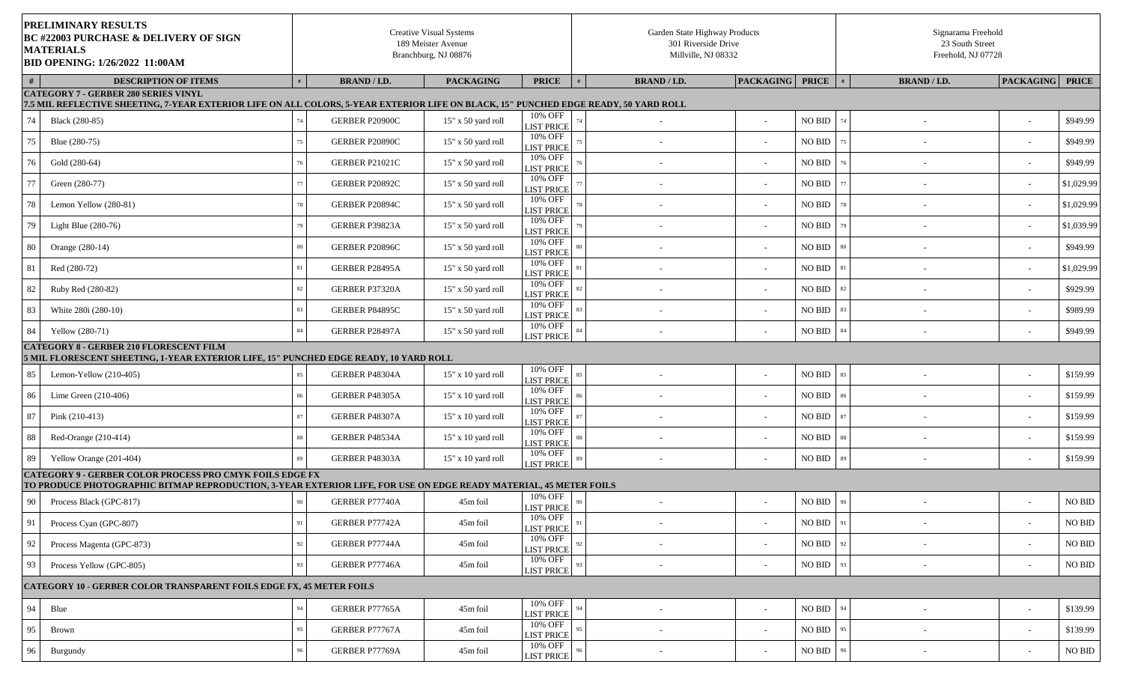|    | PRELIMINARY RESULTS<br><b>BC #22003 PURCHASE &amp; DELIVERY OF SIGN</b><br><b>MATERIALS</b><br><b>BID OPENING: 1/26/2022 11:00AM</b>                                                 |    |                       | <b>Creative Visual Systems</b><br>189 Meister Avenue<br>Branchburg, NJ 08876 |                                                   | Garden State Highway Products<br>301 Riverside Drive<br>Millville, NJ 08332 |                          |                |        | Signarama Freehold<br>23 South Street<br>Freehold, NJ 07728 |                          |                    |
|----|--------------------------------------------------------------------------------------------------------------------------------------------------------------------------------------|----|-----------------------|------------------------------------------------------------------------------|---------------------------------------------------|-----------------------------------------------------------------------------|--------------------------|----------------|--------|-------------------------------------------------------------|--------------------------|--------------------|
|    | <b>DESCRIPTION OF ITEMS</b>                                                                                                                                                          |    | <b>BRAND / I.D.</b>   | <b>PACKAGING</b>                                                             | <b>PRICE</b>                                      | <b>BRAND / I.D.</b>                                                         | PACKAGING PRICE          |                | #      | <b>BRAND / I.D.</b>                                         | <b>PACKAGING</b>         | <b>PRICE</b>       |
|    | <b>CATEGORY 7 - GERBER 280 SERIES VINYL</b><br>7.5 MIL REFLECTIVE SHEETING, 7-YEAR EXTERIOR LIFE ON ALL COLORS, 5-YEAR EXTERIOR LIFE ON BLACK, 15" PUNCHED EDGE READY, 50 YARD ROLL  |    |                       |                                                                              |                                                   |                                                                             |                          |                |        |                                                             |                          |                    |
| 74 | Black (280-85)                                                                                                                                                                       |    | GERBER P20900C        | $15"$ x 50 yard roll                                                         | $\overline{10}$ % OFF                             |                                                                             |                          | <b>NO BID</b>  | 74     | $\overline{\phantom{a}}$                                    | $\sim$                   | \$949.99           |
| 75 | Blue (280-75)                                                                                                                                                                        |    | GERBER P20890C        | 15" x 50 yard roll                                                           | <b>LIST PRICE</b><br>10% OFF<br><b>LIST PRICE</b> | $\overline{\phantom{a}}$                                                    |                          | <b>NO BID</b>  |        |                                                             | $\overline{\phantom{a}}$ | \$949.99           |
| 76 | Gold (280-64)                                                                                                                                                                        |    | <b>GERBER P21021C</b> | 15" x 50 yard roll                                                           | 10% OFF<br><b>LIST PRICE</b>                      | $\overline{\phantom{a}}$                                                    |                          | <b>NO BID</b>  |        |                                                             | $\sim$                   | \$949.99           |
| 77 | Green (280-77)                                                                                                                                                                       |    | GERBER P20892C        | 15" x 50 yard roll                                                           | 10% OFF<br><b>LIST PRICE</b>                      | $\overline{\phantom{a}}$                                                    |                          | <b>NO BID</b>  |        |                                                             | $\overline{\phantom{a}}$ | \$1,029.99         |
| 78 | Lemon Yellow (280-81)                                                                                                                                                                |    | GERBER P20894C        | 15" x 50 yard roll                                                           | 10% OFF<br><b>LIST PRICE</b>                      | $\overline{\phantom{a}}$                                                    |                          | <b>NO BID</b>  |        |                                                             | $\sim$                   | \$1,029.99         |
| 79 | Light Blue $(280-76)$                                                                                                                                                                |    | GERBER P39823A        | $15"$ x 50 yard roll                                                         | 10% OFF<br><b>LIST PRICE</b>                      |                                                                             |                          | <b>NO BID</b>  | 79     |                                                             | $\overline{\phantom{a}}$ | \$1,039.99         |
| 80 | Orange (280-14)                                                                                                                                                                      |    | GERBER P20896C        | 15" x 50 yard roll                                                           | 10% OFF<br><b>LIST PRICE</b>                      | $\overline{\phantom{a}}$                                                    |                          | <b>NO BID</b>  | 80     |                                                             | $\sim$                   | \$949.99           |
| 81 | Red (280-72)                                                                                                                                                                         |    | GERBER P28495A        | $15"$ x 50 yard roll                                                         | 10% OFF<br><b>LIST PRICE</b>                      | $\sim$                                                                      |                          | <b>NO BID</b>  |        | $\overline{\phantom{a}}$                                    | $\sim$                   | \$1,029.99         |
| 82 | Ruby Red (280-82)                                                                                                                                                                    |    | GERBER P37320A        | $15"$ x 50 yard roll                                                         | 10% OFF<br><b>LIST PRICE</b>                      | $\overline{\phantom{a}}$                                                    |                          | <b>NO BID</b>  | 82     | $\overline{\phantom{a}}$                                    | $\sim$                   | \$929.99           |
| 83 | White 280i (280-10)                                                                                                                                                                  | 83 | GERBER P84895C        | 15" x 50 yard roll                                                           | 10% OFF<br><b>LIST PRICE</b>                      |                                                                             |                          | <b>NO BID</b>  | 83     |                                                             | $\sim$                   | \$989.99           |
| 84 | Yellow (280-71)                                                                                                                                                                      | 84 | GERBER P28497A        | $15"$ x 50 yard roll                                                         | 10% OFF<br><b>LIST PRICE</b>                      | $\overline{\phantom{a}}$                                                    |                          | <b>NO BID</b>  | 84     |                                                             | $\sim$                   | \$949.99           |
|    | <b>CATEGORY 8 - GERBER 210 FLORESCENT FILM</b><br>5 MIL FLORESCENT SHEETING, 1-YEAR EXTERIOR LIFE, 15" PUNCHED EDGE READY, 10 YARD ROLL                                              |    |                       |                                                                              |                                                   |                                                                             |                          |                |        |                                                             |                          |                    |
| 85 | Lemon-Yellow $(210-405)$                                                                                                                                                             |    | GERBER P48304A        | 15" x 10 yard roll                                                           | 10% OFF<br><b>LIST PRICE</b>                      | $\overline{\phantom{a}}$                                                    | $\overline{\phantom{a}}$ | <b>NO BID</b>  | 85     | $\overline{\phantom{a}}$                                    | $\sim$                   | \$159.99           |
| 86 | Lime Green $(210-406)$                                                                                                                                                               |    | GERBER P48305A        | 15" x 10 yard roll                                                           | 10% OFF<br><b>LIST PRICE</b>                      |                                                                             |                          | <b>NO BID</b>  |        |                                                             | $\sim$                   | \$159.99           |
| 87 | Pink (210-413)                                                                                                                                                                       |    | GERBER P48307A        | $15"$ x 10 yard roll                                                         | 10% OFF<br><b>LIST PRICE</b>                      |                                                                             |                          | <b>NO BID</b>  |        | $\overline{\phantom{a}}$                                    | $\sim$                   | \$159.99           |
| 88 | Red-Orange (210-414)                                                                                                                                                                 | 88 | GERBER P48534A        | 15" x 10 yard roll                                                           | 10% OFF<br><b>LIST PRICE</b>                      | $\overline{\phantom{a}}$                                                    |                          | <b>NO BID</b>  |        |                                                             | $\sim$                   | \$159.99           |
| 89 | Yellow Orange (201-404)                                                                                                                                                              |    | GERBER P48303A        | $15"$ x 10 yard roll                                                         | 10% OFF<br><b>LIST PRICE</b>                      |                                                                             |                          | <b>NO BID</b>  |        |                                                             |                          | \$159.99           |
|    | <b>CATEGORY 9 - GERBER COLOR PROCESS PRO CMYK FOILS EDGE FX</b><br>TO PRODUCE PHOTOGRAPHIC BITMAP REPRODUCTION, 3-YEAR EXTERIOR LIFE, FOR USE ON EDGE READY MATERIAL, 45 METER FOILS |    |                       |                                                                              |                                                   |                                                                             |                          |                |        |                                                             |                          |                    |
| 90 | Process Black (GPC-817)                                                                                                                                                              | 90 | GERBER P77740A        | 45m foil                                                                     | 10% OFF                                           |                                                                             |                          | NO BID         | $90\,$ |                                                             |                          | NO BID             |
| 91 | Process Cyan (GPC-807)                                                                                                                                                               |    | GERBER P77742A        | 45m foil                                                                     | <b>LIST PRICE</b><br>10% OFF                      | $\overline{\phantom{a}}$                                                    |                          | NO BID         | 91     |                                                             | $\sim$                   | $\rm NO$ $\rm BID$ |
|    |                                                                                                                                                                                      |    |                       |                                                                              | <b>LIST PRICE</b><br>10% OFF                      |                                                                             |                          |                |        |                                                             |                          |                    |
| 92 | Process Magenta (GPC-873)                                                                                                                                                            | 92 | GERBER P77744A        | 45m foil                                                                     | <b>LIST PRICE</b><br>10% OFF                      | $\overline{\phantom{a}}$                                                    | $\overline{\phantom{a}}$ | NO BID         | 92     | $\overline{\phantom{a}}$                                    | $\sim$                   | $\rm NO$ $\rm BID$ |
| 93 | Process Yellow (GPC-805)                                                                                                                                                             | 93 | GERBER P77746A        | 45m foil                                                                     | <b>LIST PRICE</b>                                 | $\overline{\phantom{a}}$                                                    |                          | $NO$ $\rm BID$ | 93     | $\overline{\phantom{a}}$                                    | $\sim$                   | NO BID             |
|    | <b>CATEGORY 10 - GERBER COLOR TRANSPARENT FOILS EDGE FX, 45 METER FOILS</b>                                                                                                          |    |                       |                                                                              |                                                   |                                                                             |                          |                |        |                                                             |                          |                    |
| 94 | Blue                                                                                                                                                                                 |    | GERBER P77765A        | 45m foil                                                                     | 10% OFF<br><b>LIST PRICE</b>                      | $\overline{\phantom{a}}$                                                    | $\overline{\phantom{a}}$ | <b>NO BID</b>  | 94     | $\overline{\phantom{a}}$                                    | $\sim$                   | \$139.99           |
| 95 | <b>Brown</b>                                                                                                                                                                         |    | GERBER P77767A        | 45m foil                                                                     | 10% OFF<br><b>LIST PRICE</b>                      | $\overline{\phantom{a}}$                                                    |                          | <b>NO BID</b>  |        | $\overline{\phantom{a}}$                                    | $\sim$                   | \$139.99           |
| 96 | Burgundy                                                                                                                                                                             | 96 | GERBER P77769A        | 45m foil                                                                     | 10% OFF<br><b>LIST PRICE</b>                      |                                                                             |                          | $NO$ $\rm BID$ |        |                                                             | $\sim$                   | NO BID             |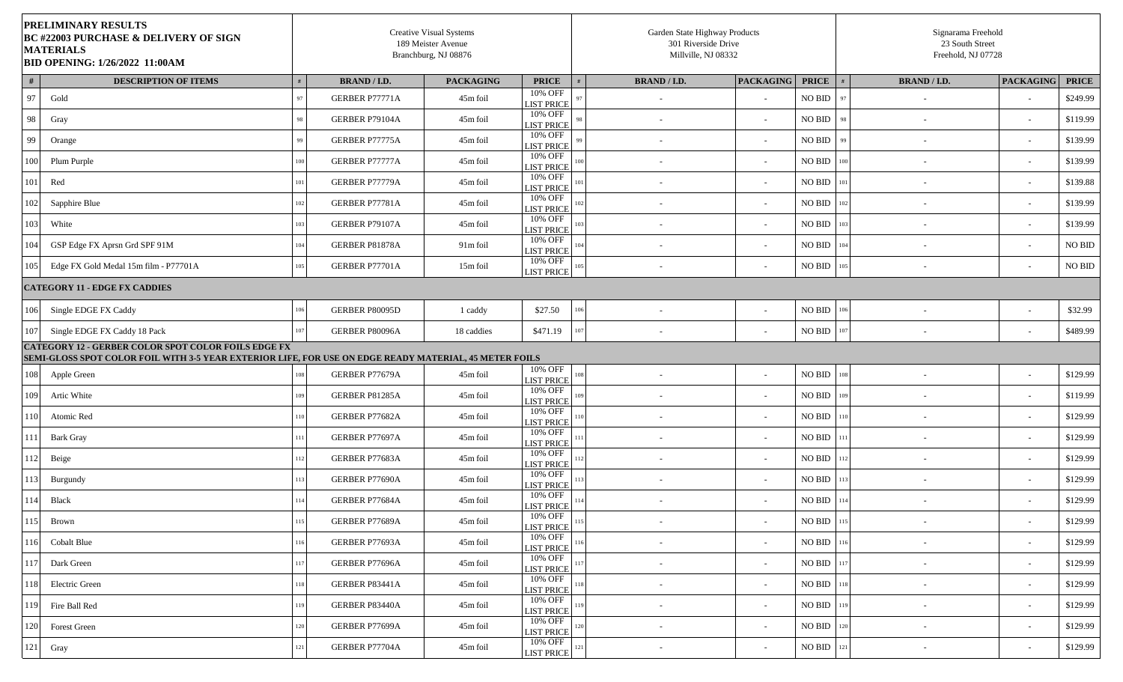| <b>PRELIMINARY RESULTS</b><br><b>BC #22003 PURCHASE &amp; DELIVERY OF SIGN</b><br><b>MATERIALS</b><br><b>BID OPENING: 1/26/2022 11:00AM</b>                          |                 |                       | <b>Creative Visual Systems</b><br>189 Meister Avenue<br>Branchburg, NJ 08876 |                              |                                 | Garden State Highway Products<br>301 Riverside Drive<br>Millville, NJ 08332 |                    |         | Signarama Freehold<br>23 South Street<br>Freehold, NJ 07728 |                          |                    |
|----------------------------------------------------------------------------------------------------------------------------------------------------------------------|-----------------|-----------------------|------------------------------------------------------------------------------|------------------------------|---------------------------------|-----------------------------------------------------------------------------|--------------------|---------|-------------------------------------------------------------|--------------------------|--------------------|
| #<br><b>DESCRIPTION OF ITEMS</b>                                                                                                                                     |                 | <b>BRAND / I.D.</b>   | <b>PACKAGING</b>                                                             | <b>PRICE</b>                 | <b>BRAND / I.D.</b>             | <b>PACKAGING</b>                                                            | <b>PRICE</b>       |         | <b>BRAND / I.D.</b>                                         | <b>PACKAGING</b>         | <b>PRICE</b>       |
| 97<br>Gold                                                                                                                                                           |                 | GERBER P77771A        | 45m foil                                                                     | 10% OFF<br><b>LIST PRICE</b> |                                 |                                                                             | <b>NO BID</b>      | 97      |                                                             | $\overline{\phantom{a}}$ | \$249.99           |
| 98<br>Gray                                                                                                                                                           |                 | GERBER P79104A        | 45m foil                                                                     | 10% OFF<br><b>LIST PRICE</b> |                                 |                                                                             | <b>NO BID</b>      | 98      | $\overline{\phantom{0}}$                                    | $\sim$                   | \$119.99           |
| 99<br>Orange                                                                                                                                                         |                 | GERBER P77775A        | 45m foil                                                                     | 10% OFF<br><b>LIST PRICE</b> | $\sim$                          |                                                                             | <b>NO BID</b>      | 99      |                                                             | $\sim$                   | \$139.99           |
| 100<br>Plum Purple                                                                                                                                                   | 10 <sup>c</sup> | <b>GERBER P77777A</b> | 45m foil                                                                     | 10% OFF<br><b>LIST PRICE</b> | 10<br>$\overline{\phantom{a}}$  |                                                                             | <b>NO BID</b>      | 100     |                                                             | $\sim$                   | \$139.99           |
| $101\,$<br>Red                                                                                                                                                       |                 | GERBER P77779A        | 45m foil                                                                     | 10% OFF<br><b>LIST PRICE</b> | $\overline{a}$                  |                                                                             | NO BID             |         | $\sim$                                                      | $\sim$                   | \$139.88           |
| 102<br>Sapphire Blue                                                                                                                                                 |                 | GERBER P77781A        | 45m foil                                                                     | 10% OFF<br><b>LIST PRICE</b> |                                 |                                                                             | <b>NO BID</b>      |         |                                                             | $\sim$                   | \$139.99           |
| 103<br>White                                                                                                                                                         |                 | GERBER P79107A        | 45m foil                                                                     | 10% OFF<br><b>LIST PRICE</b> | $\overline{\phantom{a}}$        |                                                                             | <b>NO BID</b>      |         | $\overline{\phantom{0}}$                                    | $\sim$                   | \$139.99           |
| 104<br>GSP Edge FX Aprsn Grd SPF 91M                                                                                                                                 |                 | GERBER P81878A        | 91m foil                                                                     | 10% OFF<br><b>LIST PRICE</b> |                                 |                                                                             | NO BID             |         |                                                             | $\sim$                   | $\rm NO$ $\rm BID$ |
| 105<br>Edge FX Gold Medal 15m film - P77701A                                                                                                                         | 105             | GERBER P77701A        | 15m foil                                                                     | 10% OFF<br><b>LIST PRICE</b> |                                 |                                                                             | NO BID             | 105     | $\overline{\phantom{0}}$                                    | $\sim$                   | NO BID             |
| <b>CATEGORY 11 - EDGE FX CADDIES</b>                                                                                                                                 |                 |                       |                                                                              |                              |                                 |                                                                             |                    |         |                                                             |                          |                    |
| 106<br>Single EDGE FX Caddy                                                                                                                                          | 106             | GERBER P80095D        | 1 caddy                                                                      | \$27.50                      | 106<br>$\overline{\phantom{a}}$ |                                                                             | NO BID             | 106     | $\sim$                                                      | $\overline{\phantom{a}}$ | \$32.99            |
| 107<br>Single EDGE FX Caddy 18 Pack                                                                                                                                  | 107             | GERBER P80096A        | 18 caddies                                                                   | \$471.19                     | $\sim$                          |                                                                             | <b>NO BID</b>      |         |                                                             | $\sim$                   | \$489.99           |
| <b>CATEGORY 12 - GERBER COLOR SPOT COLOR FOILS EDGE FX</b><br>SEMI-GLOSS SPOT COLOR FOIL WITH 3-5 YEAR EXTERIOR LIFE, FOR USE ON EDGE READY MATERIAL, 45 METER FOILS |                 |                       |                                                                              |                              |                                 |                                                                             |                    |         |                                                             |                          |                    |
| 108<br>Apple Green                                                                                                                                                   |                 | GERBER P77679A        | 45m foil                                                                     | 10% OFF<br><b>LIST PRICE</b> | $\overline{\phantom{a}}$        |                                                                             | <b>NO BID</b>      | 108     | $\overline{\phantom{0}}$                                    | $\sim$                   | \$129.99           |
| Artic White<br>109                                                                                                                                                   |                 | GERBER P81285A        | 45m foil                                                                     | 10% OFF<br><b>LIST PRICE</b> | $\overline{\phantom{a}}$        |                                                                             | <b>NO BID</b>      |         | $\overline{\phantom{a}}$                                    | $\sim$                   | \$119.99           |
| 110<br>Atomic Red                                                                                                                                                    |                 | GERBER P77682A        | 45m foil                                                                     | 10% OFF<br><b>LIST PRICE</b> | $\overline{\phantom{a}}$        |                                                                             | NO BID             |         | $\overline{\phantom{a}}$                                    | $\sim$                   | \$129.99           |
| 111<br><b>Bark Gray</b>                                                                                                                                              |                 | GERBER P77697A        | 45m foil                                                                     | 10% OFF<br><b>LIST PRICE</b> | $\overline{\phantom{a}}$        |                                                                             | <b>NO BID</b>      |         |                                                             | $\sim$                   | \$129.99           |
| 112<br>Beige                                                                                                                                                         |                 | GERBER P77683A        | 45m foil                                                                     | 10% OFF<br><b>LIST PRICE</b> | $\overline{\phantom{a}}$        |                                                                             | <b>NO BID</b>      |         | $\overline{\phantom{a}}$                                    | $\sim$                   | \$129.99           |
| 113<br>Burgundy                                                                                                                                                      |                 | GERBER P77690A        | 45m foil                                                                     | 10% OFF<br><b>LIST PRICE</b> | $\overline{\phantom{a}}$        |                                                                             | NO BID             |         | $\overline{\phantom{a}}$                                    | $\sim$                   | \$129.99           |
| 114<br>Black                                                                                                                                                         |                 | GERBER P77684A        | 45m foil                                                                     | 10% OFF<br><b>LIST PRICE</b> |                                 |                                                                             | NO BID             | 114     |                                                             | $\sim$                   | \$129.99           |
| 115<br>Brown                                                                                                                                                         | 115             | GERBER P77689A        | 45m foil                                                                     | 10% OFF<br><b>LIST PRICE</b> | 115<br>$\sim$                   |                                                                             | $\rm NO$ $\rm BID$ | 115     |                                                             | $\overline{\phantom{a}}$ | \$129.99           |
| 116<br><b>Cobalt Blue</b>                                                                                                                                            |                 | GERBER P77693A        | 45m foil                                                                     | 10% OFF<br><b>LIST PRICE</b> | $\sim$                          | $\sim$                                                                      | <b>NO BID</b>      | 116     | $\sim$                                                      | $\sim$                   | \$129.99           |
| 117<br>Dark Green                                                                                                                                                    |                 | GERBER P77696A        | 45m foil                                                                     | 10% OFF<br><b>LIST PRICE</b> | $\sim$                          | $\overline{\phantom{a}}$                                                    | NO BID             |         | $\overline{\phantom{a}}$                                    | $\sim$                   | \$129.99           |
| 118<br>Electric Green                                                                                                                                                | 118             | GERBER P83441A        | 45m foil                                                                     | 10% OFF<br><b>LIST PRICE</b> | $\overline{\phantom{a}}$        | $\sim$                                                                      | NO BID             | 118     | $\sim$                                                      | $\sim$                   | \$129.99           |
| Fire Ball Red<br>119                                                                                                                                                 | 119             | GERBER P83440A        | 45m foil                                                                     | 10% OFF<br><b>LIST PRICE</b> | $\overline{\phantom{a}}$        | $\sim$                                                                      | <b>NO BID</b>      |         | $\overline{\phantom{a}}$                                    | $\sim$                   | \$129.99           |
| 120<br><b>Forest Green</b>                                                                                                                                           |                 | GERBER P77699A        | 45m foil                                                                     | 10% OFF<br><b>LIST PRICE</b> | $\sim$                          | $\sim$                                                                      | NO BID             |         | $\sim$                                                      | $\sim$                   | \$129.99           |
| 121<br>Gray                                                                                                                                                          | 121             | GERBER P77704A        | 45m foil                                                                     | 10% OFF<br><b>LIST PRICE</b> |                                 |                                                                             | $\rm NO$ $\rm BID$ | $121\,$ |                                                             | $\sim$                   | \$129.99           |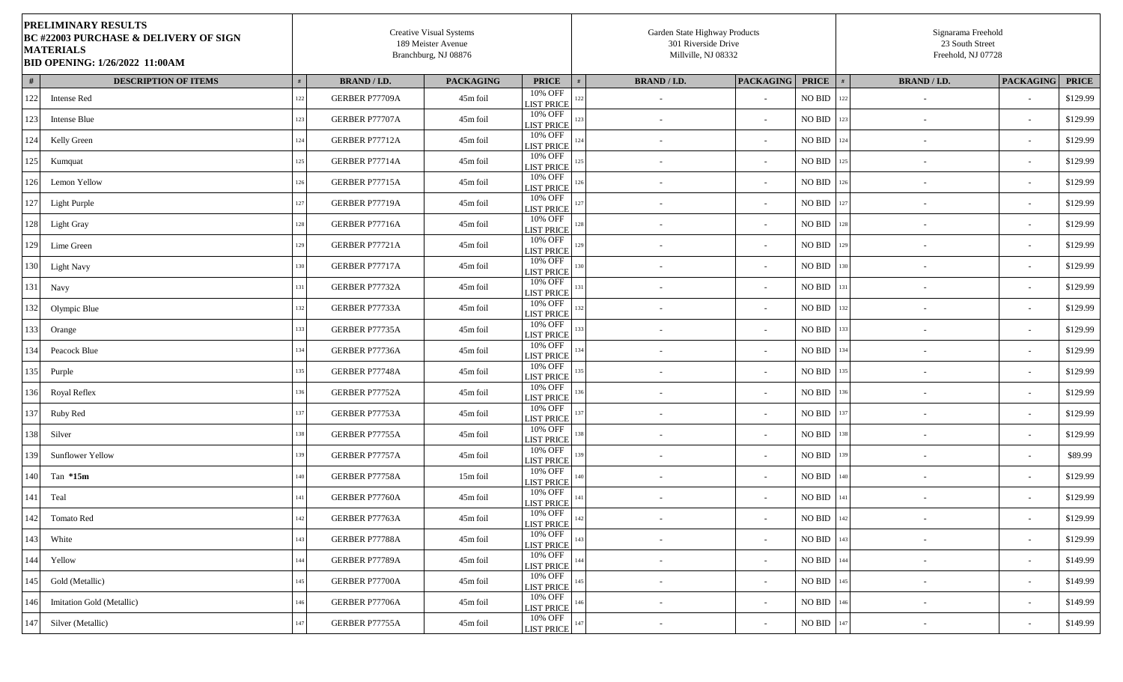| <b>PRELIMINARY RESULTS</b><br><b>BC #22003 PURCHASE &amp; DELIVERY OF SIGN</b><br><b>MATERIALS</b><br><b>BID OPENING: 1/26/2022 11:00AM</b> |     |                     | <b>Creative Visual Systems</b><br>189 Meister Avenue<br>Branchburg, NJ 08876 |                                         | Garden State Highway Products<br>301 Riverside Drive<br>Millville, NJ 08332 |                          |                    |     | Signarama Freehold<br>23 South Street<br>Freehold, NJ 07728 |                          |              |
|---------------------------------------------------------------------------------------------------------------------------------------------|-----|---------------------|------------------------------------------------------------------------------|-----------------------------------------|-----------------------------------------------------------------------------|--------------------------|--------------------|-----|-------------------------------------------------------------|--------------------------|--------------|
| #<br><b>DESCRIPTION OF ITEMS</b>                                                                                                            |     | <b>BRAND / I.D.</b> | <b>PACKAGING</b>                                                             | <b>PRICE</b>                            | <b>BRAND / I.D.</b>                                                         | <b>PACKAGING</b>         | <b>PRICE</b>       |     | <b>BRAND / I.D.</b>                                         | <b>PACKAGING</b>         | <b>PRICE</b> |
| 122<br><b>Intense Red</b>                                                                                                                   | 122 | GERBER P77709A      | 45m foil                                                                     | 10% OFF<br><b>LIST PRICE</b>            |                                                                             |                          | $\rm NO$ $\rm BID$ | 122 |                                                             | $\sim$                   | \$129.99     |
| 123<br>Intense Blue                                                                                                                         | 123 | GERBER P77707A      | 45m foil                                                                     | 10% OFF<br><b>LIST PRICE</b>            | $\overline{\phantom{a}}$                                                    | $\overline{\phantom{a}}$ | <b>NO BID</b>      | 123 | $\overline{\phantom{a}}$                                    | $\sim$                   | \$129.99     |
| 124<br>Kelly Green                                                                                                                          | 124 | GERBER P77712A      | 45m foil                                                                     | 10% OFF<br><b>LIST PRICE</b>            | $\sim$                                                                      | $\overline{\phantom{a}}$ | $\rm NO$ $\rm BID$ | 124 | $\overline{\phantom{a}}$                                    | $\overline{\phantom{a}}$ | \$129.99     |
| 125<br>Kumquat                                                                                                                              | 125 | GERBER P77714A      | 45m foil                                                                     | 10% OFF<br><b>LIST PRICE</b>            |                                                                             |                          | NO BID             | 125 |                                                             | $\sim$                   | \$129.99     |
| 126<br>Lemon Yellow                                                                                                                         | 126 | GERBER P77715A      | 45m foil                                                                     | 10% OFF<br>126<br><b>LIST PRICE</b>     | $\overline{\phantom{a}}$                                                    | $\overline{\phantom{a}}$ | $\rm NO$ $\rm BID$ | 126 | $\sim$                                                      | $\sim$                   | \$129.99     |
| 127<br>Light Purple                                                                                                                         | 127 | GERBER P77719A      | 45m foil                                                                     | 10% OFF<br><b>LIST PRICE</b>            | $\overline{\phantom{a}}$                                                    |                          | NO BID             | 127 |                                                             | $\sim$                   | \$129.99     |
| 128<br>Light Gray                                                                                                                           | 128 | GERBER P77716A      | 45m foil                                                                     | 10% OFF<br>128<br><b>LIST PRICE</b>     | $\sim$                                                                      |                          | $\rm NO$ $\rm BID$ | 128 | $\overline{\phantom{a}}$                                    | $\sim$                   | \$129.99     |
| 129<br>Lime Green                                                                                                                           | 129 | GERBER P77721A      | 45m foil                                                                     | 10% OFF<br>129<br><b>LIST PRICE</b>     | $\sim$                                                                      | $\overline{\phantom{a}}$ | $\rm NO$ $\rm BID$ | 129 | $\overline{\phantom{a}}$                                    | $\overline{\phantom{a}}$ | \$129.99     |
| 130<br><b>Light Navy</b>                                                                                                                    | 130 | GERBER P77717A      | 45m foil                                                                     | 10% OFF<br><b>LIST PRICE</b>            | $\overline{\phantom{a}}$                                                    | $\overline{\phantom{a}}$ | NO BID             | 130 | $\overline{\phantom{a}}$                                    | $\overline{\phantom{a}}$ | \$129.99     |
| 131<br>Navy                                                                                                                                 |     | GERBER P77732A      | 45m foil                                                                     | 10% OFF<br><b>LIST PRICE</b>            | $\overline{\phantom{a}}$                                                    |                          | NO BID             | 131 |                                                             | $\sim$                   | \$129.99     |
| 132<br>Olympic Blue                                                                                                                         | 132 | GERBER P77733A      | 45m foil                                                                     | 10% OFF<br><b>LIST PRICE</b>            |                                                                             |                          | <b>NO BID</b>      | 132 |                                                             | $\sim$                   | \$129.99     |
| 133<br>Orange                                                                                                                               | 133 | GERBER P77735A      | 45m foil                                                                     | 10% OFF<br>133<br><b>LIST PRICE</b>     | $\sim$                                                                      | $\overline{\phantom{a}}$ | NO BID             | 133 | $\overline{\phantom{a}}$                                    | $\sim$                   | \$129.99     |
| 134<br>Peacock Blue                                                                                                                         | 134 | GERBER P77736A      | 45m foil                                                                     | 10% OFF<br><b>LIST PRICE</b>            | $\overline{\phantom{a}}$                                                    | $\overline{\phantom{a}}$ | <b>NO BID</b>      | 134 |                                                             | $\sim$                   | \$129.99     |
| 135<br>Purple                                                                                                                               |     | GERBER P77748A      | 45m foil                                                                     | 10% OFF<br><b>LIST PRICE</b>            | $\sim$                                                                      |                          | $\rm NO$ $\rm BID$ | 135 | $\overline{\phantom{a}}$                                    | $\sim$                   | \$129.99     |
| 136<br><b>Royal Reflex</b>                                                                                                                  | 136 | GERBER P77752A      | 45m foil                                                                     | 10% OFF<br>136<br><b>LIST PRICE</b>     | $\sim$                                                                      | $\overline{\phantom{a}}$ | $\rm NO$ $\rm BID$ | 136 | $\overline{\phantom{a}}$                                    | $\sim$                   | \$129.99     |
| 137<br>Ruby Red                                                                                                                             | 137 | GERBER P77753A      | 45m foil                                                                     | 10% OFF<br><b>LIST PRICE</b>            | $\overline{\phantom{a}}$                                                    | $\overline{\phantom{a}}$ | <b>NO BID</b>      | 137 | $\overline{\phantom{a}}$                                    | $\sim$                   | \$129.99     |
| 138<br>Silver                                                                                                                               |     | GERBER P77755A      | 45m foil                                                                     | 10% OFF<br><b>LIST PRICE</b>            | $\overline{\phantom{a}}$                                                    |                          | <b>NO BID</b>      | 138 |                                                             | $\sim$                   | \$129.99     |
| 139<br><b>Sunflower Yellow</b>                                                                                                              | 139 | GERBER P77757A      | 45m foil                                                                     | $10\%$ OFF<br><b>LIST PRICE</b>         |                                                                             |                          | $\rm NO$ $\rm BID$ | 139 | $\overline{\phantom{a}}$                                    | $\overline{\phantom{a}}$ | \$89.99      |
| 140<br>Tan $*15m$                                                                                                                           | 140 | GERBER P77758A      | 15m foil                                                                     | 10% OFF<br>140<br><b>LIST PRICE</b>     | $\overline{\phantom{a}}$                                                    |                          | NO BID             | 140 |                                                             | $\sim$                   | \$129.99     |
| 141<br>Teal                                                                                                                                 | 141 | GERBER P77760A      | 45m foil                                                                     | 10% OFF<br><b>LIST PRICE</b>            | $\overline{\phantom{a}}$                                                    | $\overline{\phantom{a}}$ | NO BID             | 141 | $\overline{\phantom{a}}$                                    | $\overline{\phantom{a}}$ | \$129.99     |
| 142<br>Tomato Red                                                                                                                           | 142 | GERBER P77763A      | 45m foil                                                                     | 10% OFF<br>$142\,$<br><b>LIST PRICE</b> | $\sim$                                                                      | $\sim$                   | <b>NO BID</b> 142  |     | $\sim$                                                      | $\sim$                   | \$129.99     |
| 143<br>White                                                                                                                                | 143 | GERBER P77788A      | 45m foil                                                                     | 10% OFF<br>143<br><b>LIST PRICE</b>     | $\sim$                                                                      |                          | $\rm NO$ $\rm BID$ | 143 | $\sim$                                                      | $\sim$                   | \$129.99     |
| 144<br>Yellow                                                                                                                               | 144 | GERBER P77789A      | 45m foil                                                                     | 10% OFF<br>144<br><b>LIST PRICE</b>     | $\sim$                                                                      | $\sim$                   | NO BID             | 144 | $\overline{\phantom{a}}$                                    | $\sim$                   | \$149.99     |
| 145<br>Gold (Metallic)                                                                                                                      | 145 | GERBER P77700A      | 45m foil                                                                     | 10% OFF<br><b>LIST PRICE</b>            | $\sim$                                                                      | $\overline{\phantom{a}}$ | $\rm NO$ $\rm BID$ | 145 | $\sim$                                                      | $\sim$                   | \$149.99     |
| 146<br>Imitation Gold (Metallic)                                                                                                            | 146 | GERBER P77706A      | 45m foil                                                                     | 10% OFF<br>146<br><b>LIST PRICE</b>     | $\overline{\phantom{a}}$                                                    | $\overline{\phantom{a}}$ | NO BID             | 146 | $\overline{\phantom{a}}$                                    | $\sim$                   | \$149.99     |
| Silver (Metallic)<br>147                                                                                                                    | 147 | GERBER P77755A      | 45m foil                                                                     | 10% OFF<br>147<br><b>LIST PRICE</b>     | $\overline{\phantom{a}}$                                                    |                          | NO BID             | 147 | $\overline{\phantom{a}}$                                    | $\sim$                   | \$149.99     |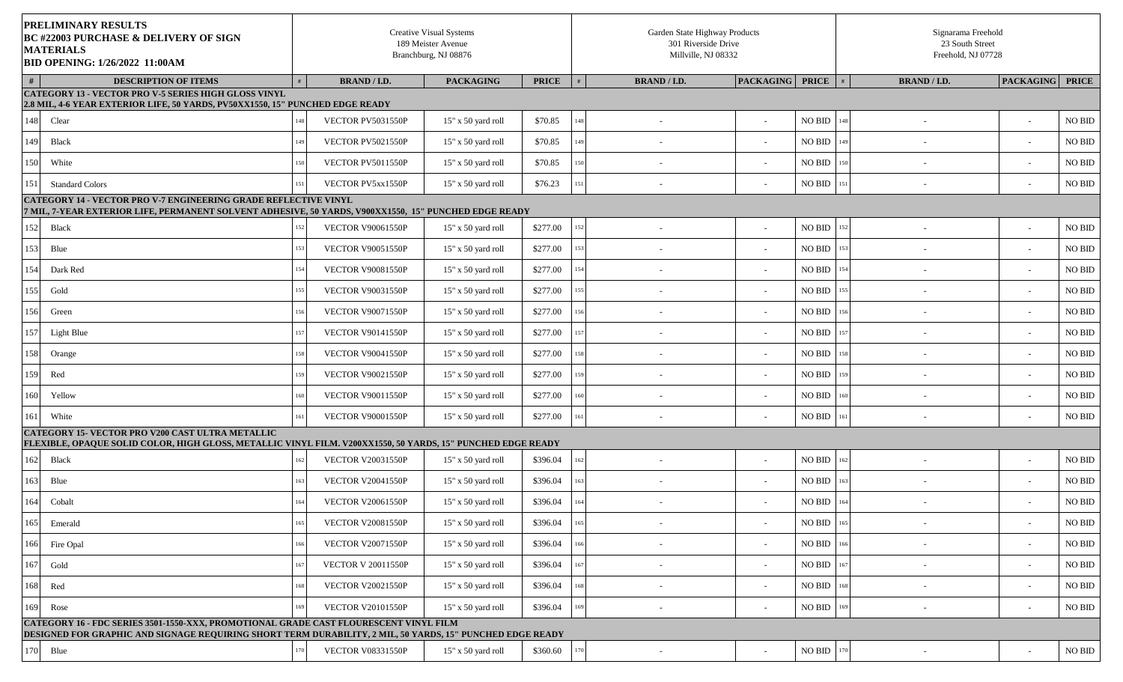|      | PRELIMINARY RESULTS<br><b>BC #22003 PURCHASE &amp; DELIVERY OF SIGN</b><br><b>MATERIALS</b><br>BID OPENING: 1/26/2022 11:00AM<br><b>DESCRIPTION OF ITEMS</b>                                        |     |                           | <b>Creative Visual Systems</b><br>189 Meister Avenue<br>Branchburg, NJ 08876 |              | Garden State Highway Products<br>301 Riverside Drive<br>Millville, NJ 08332 |                        |                    | Signarama Freehold<br>23 South Street<br>Freehold, NJ 07728 |                          |                    |
|------|-----------------------------------------------------------------------------------------------------------------------------------------------------------------------------------------------------|-----|---------------------------|------------------------------------------------------------------------------|--------------|-----------------------------------------------------------------------------|------------------------|--------------------|-------------------------------------------------------------|--------------------------|--------------------|
| #    |                                                                                                                                                                                                     |     | <b>BRAND / I.D.</b>       | <b>PACKAGING</b>                                                             | <b>PRICE</b> | <b>BRAND/I.D.</b>                                                           | <b>PACKAGING</b> PRICE |                    | <b>BRAND / I.D.</b><br>#                                    | <b>PACKAGING</b>         | <b>PRICE</b>       |
|      | <b>CATEGORY 13 - VECTOR PRO V-5 SERIES HIGH GLOSS VINYL</b><br>2.8 MIL, 4-6 YEAR EXTERIOR LIFE, 50 YARDS, PV50XX1550, 15" PUNCHED EDGE READY                                                        |     |                           |                                                                              |              |                                                                             |                        |                    |                                                             |                          |                    |
| 148  | Clear                                                                                                                                                                                               |     | VECTOR PV5031550P         | 15" x 50 yard roll                                                           | \$70.85      | 148                                                                         |                        | NO BID             | 148<br>$\overline{\phantom{a}}$                             | $\sim$                   | $\rm NO$ $\rm BID$ |
| 149  | <b>Black</b>                                                                                                                                                                                        |     | VECTOR PV5021550P         | 15" x 50 yard roll                                                           | \$70.85      | 149                                                                         |                        | NO BID             | 149                                                         | $\sim$                   | $\rm NO$ $\rm BID$ |
| 150  | White                                                                                                                                                                                               | 150 | VECTOR PV5011550P         | 15" x 50 yard roll                                                           | \$70.85      | 150                                                                         |                        | $\rm NO$ $\rm BID$ | 150<br>$\overline{\phantom{a}}$                             | $\sim$                   | $\rm NO$ $\rm BID$ |
| 151  | <b>Standard Colors</b>                                                                                                                                                                              | 151 | VECTOR PV5xx1550P         | 15" x 50 yard roll                                                           | \$76.23      | 151                                                                         |                        | NO BID             | 151                                                         | $\overline{\phantom{a}}$ | NO BID             |
|      | CATEGORY 14 - VECTOR PRO V-7 ENGINEERING GRADE REFLECTIVE VINYL<br>7 MIL, 7-YEAR EXTERIOR LIFE, PERMANENT SOLVENT ADHESIVE, 50 YARDS, V900XX1550,  15'' PUNCHED EDGE READY                          |     |                           |                                                                              |              |                                                                             |                        |                    |                                                             |                          |                    |
| 152  | <b>Black</b>                                                                                                                                                                                        | 152 | <b>VECTOR V90061550P</b>  | 15" x 50 yard roll                                                           | \$277.00     | 152                                                                         |                        | NO BID             | 152<br>$\overline{\phantom{a}}$                             | $\sim$                   | NO BID             |
| 153  | Blue                                                                                                                                                                                                |     | <b>VECTOR V90051550P</b>  | 15" x 50 yard roll                                                           | \$277.00     | 153                                                                         |                        | $\rm NO$ $\rm BID$ | 153                                                         | $\sim$                   | NO BID             |
| 154  | Dark Red                                                                                                                                                                                            | 154 | <b>VECTOR V90081550P</b>  | 15" x 50 yard roll                                                           | \$277.00     | 154                                                                         |                        | NO BID             | 154<br>$\overline{\phantom{a}}$                             | $\sim$                   | NO BID             |
| 155  | Gold                                                                                                                                                                                                | 155 | <b>VECTOR V90031550P</b>  | 15" x 50 yard roll                                                           | \$277.00     |                                                                             |                        | $\rm NO$ $\rm BID$ | 155                                                         | $\sim$                   | $\rm NO$ $\rm BID$ |
| 156  | Green                                                                                                                                                                                               | 156 | <b>VECTOR V90071550P</b>  | 15" x 50 yard roll                                                           | \$277.00     | 156                                                                         |                        | NO BID             | 156                                                         | $\sim$                   | $\rm NO$ $\rm BID$ |
| 157  | Light Blue                                                                                                                                                                                          | 157 | <b>VECTOR V90141550P</b>  | 15" x 50 yard roll                                                           | \$277.00     | 157                                                                         |                        | NO BID             | 157                                                         | $\sim$                   | NO BID             |
| 158  | Orange                                                                                                                                                                                              | 158 | <b>VECTOR V90041550P</b>  | 15" x 50 yard roll                                                           | \$277.00     | 158                                                                         |                        | NO BID             | 158                                                         | $\sim$                   | NO BID             |
| l 59 | Red                                                                                                                                                                                                 | 159 | <b>VECTOR V90021550P</b>  | 15" x 50 yard roll                                                           | \$277.00     | 159                                                                         |                        | NO BID             | 159                                                         | $\sim$                   | $\rm NO$ $\rm BID$ |
| 160  | Yellow                                                                                                                                                                                              | 160 | <b>VECTOR V90011550P</b>  | 15" x 50 yard roll                                                           | \$277.00     | 160                                                                         |                        | NO BID             | 160                                                         | $\sim$                   | $\rm NO$ $\rm BID$ |
| 161  | White                                                                                                                                                                                               | 161 | <b>VECTOR V90001550P</b>  | $15"$ x 50 yard roll                                                         | \$277.00     | 161                                                                         |                        | NO BID             | 161                                                         | $\sim$                   | $\rm NO$ $\rm BID$ |
|      | CATEGORY 15- VECTOR PRO V200 CAST ULTRA METALLIC<br>FLEXIBLE, OPAQUE SOLID COLOR, HIGH GLOSS, METALLIC VINYL FILM. V200XX1550, 50 YARDS, 15'' PUNCHED EDGE READY                                    |     |                           |                                                                              |              |                                                                             |                        |                    |                                                             |                          |                    |
| 162  | Black                                                                                                                                                                                               | 162 | <b>VECTOR V20031550P</b>  | 15" x 50 yard roll                                                           | \$396.04     | 162                                                                         |                        | NO BID             | 162                                                         | $\sim$                   | NO BID             |
| 163  | Blue                                                                                                                                                                                                | 163 | <b>VECTOR V20041550P</b>  | 15" x 50 yard roll                                                           | \$396.04     |                                                                             |                        | NO BID             | 163                                                         | $\sim$                   | $\rm NO$ $\rm BID$ |
| 164  | Cobalt                                                                                                                                                                                              | 164 | <b>VECTOR V20061550P</b>  | 15" x 50 yard roll                                                           | \$396.04     | 164                                                                         |                        | NO BID             | 164                                                         |                          | $\rm NO$ $\rm BID$ |
| 165  | Emerald                                                                                                                                                                                             | 165 | <b>VECTOR V20081550P</b>  | 15" x 50 yard roll                                                           | \$396.04     | 165                                                                         |                        | NO BID             | 165                                                         | $\overline{\phantom{a}}$ | $\rm NO$ $\rm BID$ |
| 166  | Fire Opal                                                                                                                                                                                           | 166 | <b>VECTOR V20071550P</b>  | 15" x 50 yard roll                                                           | \$396.04     | 166<br>$\overline{a}$                                                       |                        | $\rm NO$ $\rm BID$ | 166                                                         | $\sim$                   | $\rm NO$ $\rm BID$ |
| 167  | Gold                                                                                                                                                                                                | 167 | <b>VECTOR V 20011550P</b> | 15" x 50 yard roll                                                           | \$396.04     |                                                                             |                        | NO BID             | 167                                                         | $\sim$                   | $\rm NO$ $\rm BID$ |
| 168  | Red                                                                                                                                                                                                 | 168 | <b>VECTOR V20021550P</b>  | 15" x 50 yard roll                                                           | \$396.04     |                                                                             |                        | NO BID             | 168                                                         | $\overline{\phantom{a}}$ | NO BID             |
| 169  | Rose                                                                                                                                                                                                | 169 | <b>VECTOR V20101550P</b>  | 15" x 50 yard roll                                                           | \$396.04     | 169                                                                         |                        | <b>NO BID</b> 169  | $\overline{\phantom{a}}$                                    | $\sim$                   | NO BID             |
|      | CATEGORY 16 - FDC SERIES 3501-1550-XXX, PROMOTIONAL GRADE CAST FLOURESCENT VINYL FILM<br>DESIGNED FOR GRAPHIC AND SIGNAGE REQUIRING SHORT TERM DURABILITY, 2 MIL, 50 YARDS, 15'' PUNCHED EDGE READY |     |                           |                                                                              |              |                                                                             |                        |                    |                                                             |                          |                    |
| 170  | Blue                                                                                                                                                                                                | 170 | <b>VECTOR V08331550P</b>  | 15" x 50 yard roll                                                           | \$360.60     | 170                                                                         |                        | $\rm NO$ $\rm BID$ | $170\,$                                                     |                          | $\rm NO$ $\rm BID$ |
|      |                                                                                                                                                                                                     |     |                           |                                                                              |              |                                                                             |                        |                    |                                                             |                          |                    |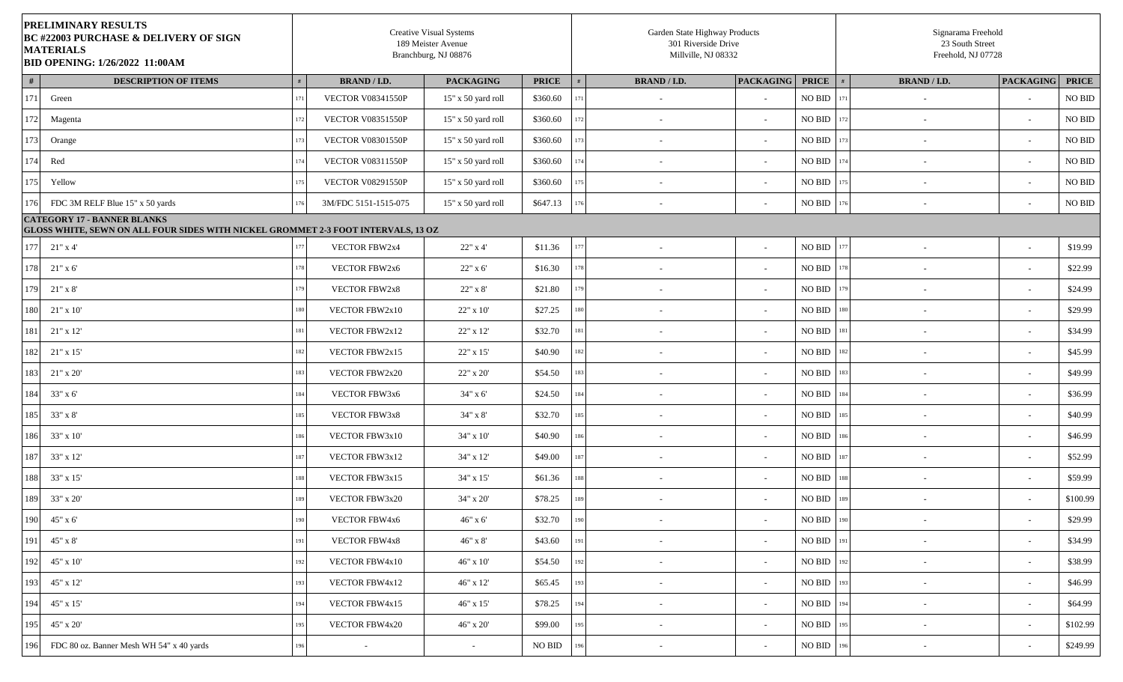| <b>PRELIMINARY RESULTS</b><br><b>BC #22003 PURCHASE &amp; DELIVERY OF SIGN</b><br><b>MATERIALS</b><br><b>BID OPENING: 1/26/2022 11:00AM</b> |     |                          | <b>Creative Visual Systems</b><br>189 Meister Avenue<br>Branchburg, NJ 08876 |                    | Garden State Highway Products<br>301 Riverside Drive<br>Millville, NJ 08332 |                          |                        |     | Signarama Freehold<br>23 South Street<br>Freehold, NJ 07728 |                  |                    |
|---------------------------------------------------------------------------------------------------------------------------------------------|-----|--------------------------|------------------------------------------------------------------------------|--------------------|-----------------------------------------------------------------------------|--------------------------|------------------------|-----|-------------------------------------------------------------|------------------|--------------------|
| #<br><b>DESCRIPTION OF ITEMS</b>                                                                                                            |     | <b>BRAND / I.D.</b>      | <b>PACKAGING</b>                                                             | <b>PRICE</b>       | <b>BRAND / I.D.</b>                                                         | <b>PACKAGING</b>         | <b>PRICE</b>           | #   | <b>BRAND / I.D.</b>                                         | <b>PACKAGING</b> | <b>PRICE</b>       |
| 171<br>Green                                                                                                                                | 171 | <b>VECTOR V08341550P</b> | 15" x 50 yard roll                                                           | \$360.60           | $\overline{\phantom{a}}$                                                    |                          | $\rm NO$ $\rm BID$     | 171 | $\sim$                                                      | $\sim$           | $\rm NO$ $\rm BID$ |
| 172<br>Magenta                                                                                                                              | 172 | <b>VECTOR V08351550P</b> | 15" x 50 yard roll                                                           | \$360.60           | $\overline{a}$                                                              |                          | $\rm NO$ $\rm BID$     | 172 | $\sim$                                                      | $\sim$           | $\rm NO$ $\rm BID$ |
| 173<br>Orange                                                                                                                               | 173 | <b>VECTOR V08301550P</b> | 15" x 50 yard roll                                                           | \$360.60           | $\overline{\phantom{a}}$                                                    |                          | $\rm NO$ $\rm BID$     | 173 | $\overline{\phantom{a}}$                                    | $\sim$           | $\rm NO$ $\rm BID$ |
| 174<br>Red                                                                                                                                  | 174 | <b>VECTOR V08311550P</b> | 15" x 50 yard roll                                                           | \$360.60           | $\overline{\phantom{a}}$                                                    |                          | NO BID                 | 174 | $\sim$                                                      | $\sim$           | <b>NO BID</b>      |
| 175<br>Yellow                                                                                                                               | 175 | <b>VECTOR V08291550P</b> | 15" x 50 yard roll                                                           | \$360.60           | $\sim$                                                                      | $\sim$                   | NO BID                 | 175 | $\sim$                                                      | $\sim$           | NO BID             |
| 176<br>FDC 3M RELF Blue 15" x 50 yards                                                                                                      | 176 | 3M/FDC 5151-1515-075     | 15" x 50 yard roll                                                           | \$647.13           | $\overline{\phantom{a}}$                                                    |                          | NO BID                 | 176 | $\sim$                                                      | $\sim$           | $\rm NO$ $\rm BID$ |
| <b>CATEGORY 17 - BANNER BLANKS</b><br>GLOSS WHITE, SEWN ON ALL FOUR SIDES WITH NICKEL GROMMET 2-3 FOOT INTERVALS, 13 OZ                     |     |                          |                                                                              |                    |                                                                             |                          |                        |     |                                                             |                  |                    |
| 177<br>$21"$ x 4'                                                                                                                           | 177 | VECTOR FBW2x4            | 22" x 4"                                                                     | \$11.36            |                                                                             |                          | $\rm NO$ $\rm BID$     | 177 |                                                             | $\sim$           | \$19.99            |
| 178<br>$21"$ x 6'                                                                                                                           | 178 | <b>VECTOR FBW2x6</b>     | $22"$ x 6'                                                                   | \$16.30            |                                                                             |                          | NO BID                 | 178 |                                                             | $\sim$           | \$22.99            |
| 179<br>$21"$ x $8'$                                                                                                                         | 179 | <b>VECTOR FBW2x8</b>     | 22" x 8'                                                                     | \$21.80            | $\sim$                                                                      |                          | $\rm NO$ $\rm BID$     | 179 | $\sim$                                                      | $\sim$           | \$24.99            |
| 180<br>$21" \times 10'$                                                                                                                     | 180 | VECTOR FBW2x10           | 22" x 10'                                                                    | \$27.25            | $\overline{\phantom{a}}$                                                    | $\overline{\phantom{a}}$ | NO BID                 | 180 | $\sim$                                                      | $\sim$           | \$29.99            |
| 181<br>$21"$ x 12'                                                                                                                          | 181 | VECTOR FBW2x12           | 22" x 12"                                                                    | \$32.70            | $\sim$                                                                      |                          | NO BID                 | 181 | $\sim$                                                      | $\sim$           | \$34.99            |
| 182<br>$21"$ x 15'                                                                                                                          | 182 | VECTOR FBW2x15           | 22" x 15"                                                                    | \$40.90            | $\overline{\phantom{a}}$                                                    | $\overline{\phantom{a}}$ | $\rm NO$ $\rm BID$     | 182 | $\sim$                                                      | $\sim$           | \$45.99            |
| 183<br>$21"$ x $20"$                                                                                                                        | 183 | VECTOR FBW2x20           | $22"$ x $20"$                                                                | \$54.50            | $\overline{\phantom{a}}$                                                    | $\overline{\phantom{a}}$ | $\rm NO$ $\rm BID$     | 183 | $\overline{\phantom{a}}$                                    | $\sim$           | \$49.99            |
| 184<br>33" x 6'                                                                                                                             | 184 | VECTOR FBW3x6            | 34" x 6'                                                                     | \$24.50            | $\overline{\phantom{a}}$                                                    |                          | $\rm NO$ $\rm BID$     | 184 |                                                             | $\sim$           | \$36.99            |
| 185<br>33" x 8'                                                                                                                             | 185 | VECTOR FBW3x8            | $34" \times 8'$                                                              | \$32.70            | $\overline{\phantom{a}}$                                                    |                          | <b>NO BID</b>          | 185 |                                                             | $\sim$           | \$40.99            |
| 186<br>33" x 10"                                                                                                                            | 186 | VECTOR FBW3x10           | $34" \times 10'$                                                             | \$40.90            | $\sim$                                                                      | $\overline{\phantom{a}}$ | NO BID 186             |     | $\sim$                                                      | $\sim$           | \$46.99            |
| 187<br>33" x 12"                                                                                                                            | 187 | VECTOR FBW3x12           | 34" x 12"                                                                    | \$49.00            | $\sim$                                                                      | $\sim$                   | NO BID                 | 187 | $\overline{\phantom{a}}$                                    | $\sim$           | \$52.99            |
| 188<br>33" x 15"                                                                                                                            | 188 | VECTOR FBW3x15           | 34" x 15'                                                                    | \$61.36            | $\sim$                                                                      |                          | NO BID                 | 188 | $\sim$                                                      | $\sim$           | \$59.99            |
| 189<br>33" x 20'                                                                                                                            | 189 | VECTOR FBW3x20           | 34" x 20'                                                                    | \$78.25            | $\sim$                                                                      |                          | $\rm NO$ $\rm BID$     | 189 | $\sim$                                                      | $\sim$           | \$100.99           |
| 190<br>45" x 6'                                                                                                                             | 190 | VECTOR FBW4x6            | $46"$ x 6'                                                                   | \$32.70            | $\sim$                                                                      | $\overline{\phantom{a}}$ | $\rm NO$ BID $-$ 190   |     |                                                             | $\sim$           | \$29.99            |
| 191<br>45" x 8'                                                                                                                             | 191 | VECTOR FBW4x8            | $46"$ x $8"$                                                                 | \$43.60            | $\overline{\phantom{a}}$                                                    | $\overline{\phantom{a}}$ | $NO$ BID $191$         |     |                                                             | $\sim$           | \$34.99            |
| 192<br>$45" \times 10'$                                                                                                                     | 192 | VECTOR FBW4x10           | $46" \times 10'$                                                             | \$54.50            | $\overline{\phantom{a}}$                                                    | $\overline{\phantom{a}}$ | $\rm NO$ BID $-$ 192   |     | $\sim$                                                      | $\sim$           | \$38.99            |
| 193<br>45" x 12"                                                                                                                            | 193 | VECTOR FBW4x12           | 46" x 12"                                                                    | \$65.45            | $\overline{\phantom{a}}$                                                    | $\overline{\phantom{a}}$ | $\rm NO\ BID$ 193      |     | $\sim$                                                      | $\sim$           | \$46.99            |
| 194<br>45" x 15"                                                                                                                            | 194 | VECTOR FBW4x15           | 46" x 15"                                                                    | \$78.25            | $\overline{\phantom{a}}$                                                    | $\overline{\phantom{a}}$ | <b>NO BID</b> 194      |     | $\sim$                                                      | $\sim$           | \$64.99            |
| 195<br>45" x 20"                                                                                                                            | 195 | <b>VECTOR FBW4x20</b>    | 46" x 20'                                                                    | \$99.00            | $\overline{\phantom{a}}$                                                    | $\overline{\phantom{a}}$ | $\rm NO$ BID $^{-195}$ |     | $\sim$                                                      | $\sim$           | \$102.99           |
| 196<br>FDC 80 oz. Banner Mesh WH 54" x 40 yards                                                                                             | 196 | $\sim$                   | $\sim$                                                                       | $\rm NO$ $\rm BID$ | $\overline{\phantom{a}}$                                                    | $\overline{\phantom{a}}$ | $\rm NO$ BID $-$ 196   |     | $\sim$                                                      | $\sim$           | \$249.99           |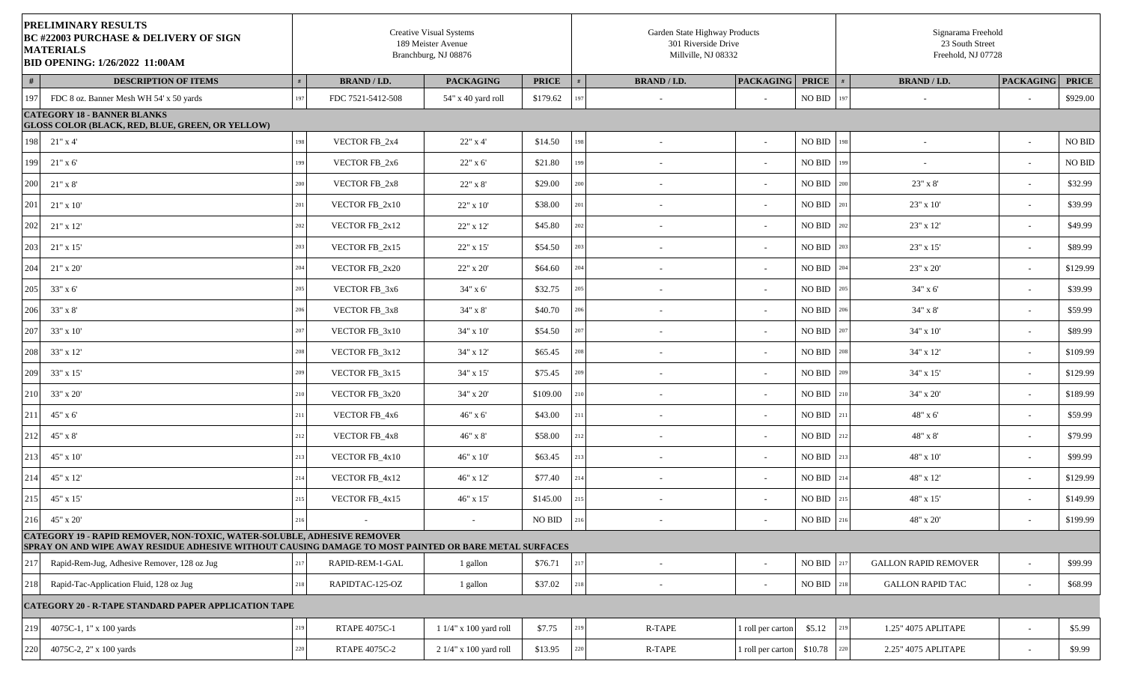|     | PRELIMINARY RESULTS<br><b>BC #22003 PURCHASE &amp; DELIVERY OF SIGN</b><br><b>MATERIALS</b><br>BID OPENING: 1/26/2022 11:00AM                                                           |     |                     | <b>Creative Visual Systems</b><br>189 Meister Avenue<br>Branchburg, NJ 08876 |              |         | Garden State Highway Products<br>301 Riverside Drive<br>Millville, NJ 08332 |                   |                       |     | Signarama Freehold<br>23 South Street<br>Freehold, NJ 07728 |                          |                    |
|-----|-----------------------------------------------------------------------------------------------------------------------------------------------------------------------------------------|-----|---------------------|------------------------------------------------------------------------------|--------------|---------|-----------------------------------------------------------------------------|-------------------|-----------------------|-----|-------------------------------------------------------------|--------------------------|--------------------|
| #   | DESCRIPTION OF ITEMS                                                                                                                                                                    |     | <b>BRAND / I.D.</b> | <b>PACKAGING</b>                                                             | <b>PRICE</b> |         | <b>BRAND / I.D.</b>                                                         | <b>PACKAGING</b>  | <b>PRICE</b>          |     | <b>BRAND / I.D.</b>                                         | <b>PACKAGING</b>         | <b>PRICE</b>       |
| 197 | FDC 8 oz. Banner Mesh WH 54' x 50 yards                                                                                                                                                 | 197 | FDC 7521-5412-508   | 54" x 40 yard roll                                                           | \$179.62     | 197     |                                                                             |                   | NO BID                | 197 |                                                             | $\sim$                   | \$929.00           |
|     | <b>CATEGORY 18 - BANNER BLANKS</b><br><b>GLOSS COLOR (BLACK, RED, BLUE, GREEN, OR YELLOW)</b>                                                                                           |     |                     |                                                                              |              |         |                                                                             |                   |                       |     |                                                             |                          |                    |
| 198 | $21"$ x 4'                                                                                                                                                                              | 198 | VECTOR FB_2x4       | 22" x 4'                                                                     | \$14.50      | 198     | $\sim$                                                                      | $\sim$            | <b>NO BID</b> 198     |     | $\overline{\phantom{a}}$                                    | $\sim$                   | NO BID             |
| 199 | $21"$ x 6'                                                                                                                                                                              | 199 | VECTOR FB_2x6       | 22" x 6'                                                                     | \$21.80      | 199     | $\sim$                                                                      | $\sim$            | NO BID                | 199 | $\sim$                                                      | $\sim$                   | $\rm NO$ $\rm BID$ |
| 200 | $21"$ x $8"$                                                                                                                                                                            | 200 | VECTOR FB_2x8       | 22" x 8'                                                                     | \$29.00      | 200     | $\sim$                                                                      |                   | NO BID                | 200 | 23" x 8'                                                    | $\sim$                   | \$32.99            |
| 201 | $21"$ x 10'                                                                                                                                                                             | 201 | VECTOR FB_2x10      | 22" x 10'                                                                    | \$38.00      | 201     | $\sim$                                                                      | $\sim$            | $\rm NO$ $\rm BID$    | 201 | 23" x 10"                                                   | $\sim$                   | \$39.99            |
| 202 | $21"$ x $12"$                                                                                                                                                                           | 202 | VECTOR FB_2x12      | 22" x 12'                                                                    | \$45.80      | 202     | $\sim$                                                                      |                   | <b>NO BID</b>         | 202 | 23" x 12'                                                   | $\sim$                   | \$49.99            |
| 203 | $21"$ x 15'                                                                                                                                                                             | 203 | VECTOR FB_2x15      | 22" x 15"                                                                    | \$54.50      | 203     |                                                                             |                   | NO BID                | 203 | 23" x 15"                                                   | $\sim$                   | \$89.99            |
| 204 | $21"$ x $20"$                                                                                                                                                                           | 204 | VECTOR FB 2x20      | 22" x 20'                                                                    | \$64.60      | 204     |                                                                             |                   | NO BID                | 204 | 23" x 20'                                                   | $\sim$                   | \$129.99           |
| 205 | 33" x 6'                                                                                                                                                                                | 205 | VECTOR FB_3x6       | 34" x 6'                                                                     | \$32.75      | 205     |                                                                             | $\overline{a}$    | $\rm NO$ BID $\,$ 205 |     | $34" \times 6'$                                             | $\sim$                   | \$39.99            |
| 206 | $33" \times 8'$                                                                                                                                                                         | 206 | VECTOR FB_3x8       | 34" x 8'                                                                     | \$40.70      | 206     | $\sim$                                                                      | $\sim$            | NO BID                | 206 | 34" x 8'                                                    | $\sim$                   | \$59.99            |
| 207 | 33" x 10'                                                                                                                                                                               | 207 | VECTOR FB_3x10      | 34" x 10'                                                                    | \$54.50      | 207     | $\sim$                                                                      | $\sim$            | NO BID                | 207 | 34" x 10'                                                   | $\sim$                   | \$89.99            |
| 208 | 33" x 12"                                                                                                                                                                               | 208 | VECTOR FB_3x12      | 34" x 12'                                                                    | \$65.45      | 208     | $\sim$                                                                      | $\sim$            | NO BID                | 208 | 34" x 12"                                                   | $\sim$                   | \$109.99           |
| 209 | 33" x 15'                                                                                                                                                                               | 209 | VECTOR FB_3x15      | 34" x 15"                                                                    | \$75.45      | 209     | $\overline{\phantom{a}}$                                                    |                   | $\rm NO$ $\rm BID$    | 209 | 34" x 15"                                                   | $\sim$                   | \$129.99           |
| 210 | 33" x 20'                                                                                                                                                                               | 210 | VECTOR FB_3x20      | 34" x 20'                                                                    | \$109.00     | 210     | $\overline{\phantom{a}}$                                                    |                   | NO BID                | 210 | 34" x 20"                                                   | $\sim$                   | \$189.99           |
| 211 | 45" x 6'                                                                                                                                                                                | 211 | VECTOR FB_4x6       | 46" x 6'                                                                     | \$43.00      | 211     |                                                                             | $\sim$            | NO BID                | 211 | 48" x 6'                                                    | $\sim$                   | \$59.99            |
| 212 | $45" \times 8'$                                                                                                                                                                         | 212 | VECTOR FB_4x8       | $46"$ x $8"$                                                                 | \$58.00      | $212\,$ | $\sim$                                                                      | $\overline{a}$    | NO BID                | 212 | 48" x 8'                                                    | $\sim$                   | \$79.99            |
| 213 | $45" \times 10'$                                                                                                                                                                        | 213 | VECTOR FB_4x10      | 46" x 10'                                                                    | \$63.45      | 213     | $\sim$                                                                      | $\sim$            | $\rm NO$ $\rm BID$    | 213 | 48" x 10'                                                   | $\overline{\phantom{a}}$ | \$99.99            |
| 214 | 45" x 12'                                                                                                                                                                               | 214 | VECTOR FB_4x12      | 46" x 12'                                                                    | \$77.40      | 214     | $\sim$                                                                      | $\sim$            | NO BID                | 214 | $48" \times 12'$                                            | $\sim$                   | \$129.99           |
| 215 | 45" x 15"                                                                                                                                                                               | 215 | VECTOR FB_4x15      | $46"$ x $15"$                                                                | \$145.00     | 215     | $\sim$                                                                      |                   | NO BID                | 215 | $48" \times 15"$                                            | $\sim$                   | \$149.99           |
| 216 | $45" \times 20'$                                                                                                                                                                        | 216 |                     |                                                                              | NO BID       | $216\,$ |                                                                             | $\sim$            | NO BID 216            |     | 48" x 20'                                                   | $\sim$                   | \$199.99           |
|     | <b>CATEGORY 19 - RAPID REMOVER, NON-TOXIC, WATER-SOLUBLE, ADHESIVE REMOVER</b><br>SPRAY ON AND WIPE AWAY RESIDUE ADHESIVE WITHOUT CAUSING DAMAGE TO MOST PAINTED OR BARE METAL SURFACES |     |                     |                                                                              |              |         |                                                                             |                   |                       |     |                                                             |                          |                    |
| 217 | Rapid-Rem-Jug, Adhesive Remover, 128 oz Jug                                                                                                                                             | 217 | RAPID-REM-1-GAL     | 1 gallon                                                                     | \$76.71      | $217\,$ | $\sim$                                                                      |                   | $\rm NO$ $\rm BID$    |     | <b>GALLON RAPID REMOVER</b>                                 |                          | \$99.99            |
| 218 | Rapid-Tac-Application Fluid, 128 oz Jug                                                                                                                                                 | 218 | RAPIDTAC-125-OZ     | 1 gallon                                                                     | \$37.02      | $218\,$ | $\sim$                                                                      | $\sim$            | $NO$ BID              | 218 | <b>GALLON RAPID TAC</b>                                     | $\sim$                   | \$68.99            |
|     | <b>CATEGORY 20 - R-TAPE STANDARD PAPER APPLICATION TAPE</b>                                                                                                                             |     |                     |                                                                              |              |         |                                                                             |                   |                       |     |                                                             |                          |                    |
| 219 | 4075C-1, 1" x 100 yards                                                                                                                                                                 | 219 | RTAPE 4075C-1       | 1 1/4" x 100 yard roll                                                       | \$7.75       | $219\,$ | R-TAPE                                                                      | 1 roll per carton | \$5.12                | 219 | 1.25" 4075 APLITAPE                                         |                          | \$5.99             |
| 220 | 4075C-2, 2" x 100 yards                                                                                                                                                                 | 220 | RTAPE 4075C-2       | 2 1/4" x 100 yard roll                                                       | \$13.95      | 220     | R-TAPE                                                                      | 1 roll per carton | \$10.78               | 220 | 2.25" 4075 APLITAPE                                         |                          | \$9.99             |
|     |                                                                                                                                                                                         |     |                     |                                                                              |              |         |                                                                             |                   |                       |     |                                                             |                          |                    |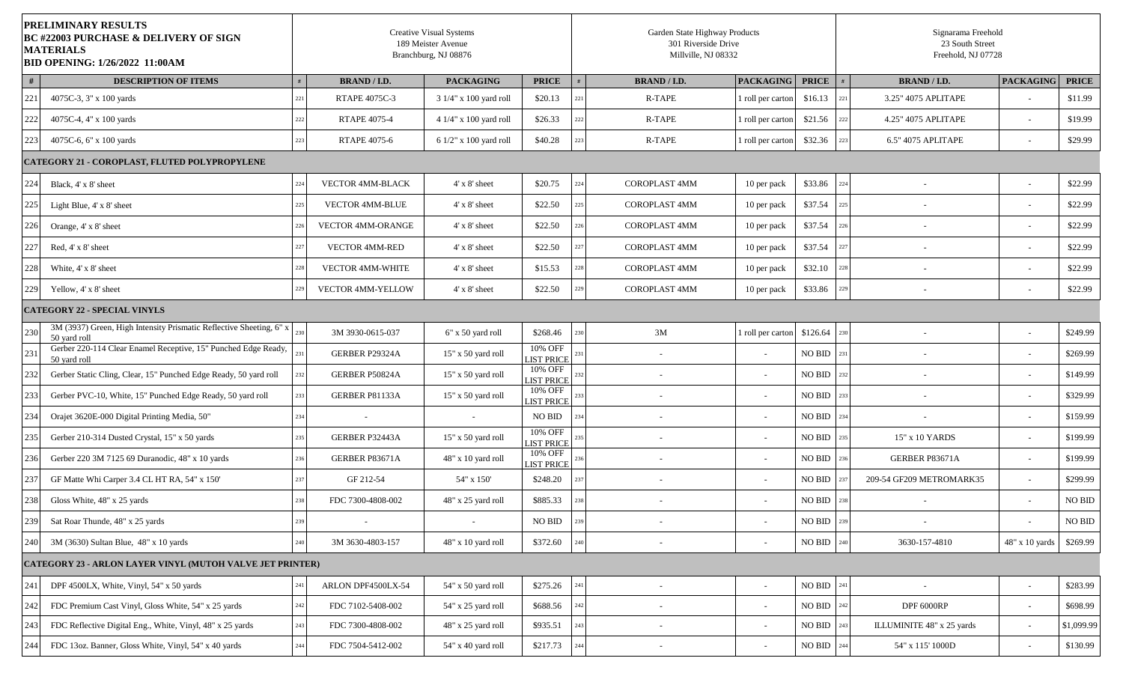| <b>PRELIMINARY RESULTS</b><br><b>BC #22003 PURCHASE &amp; DELIVERY OF SIGN</b><br><b>MATERIALS</b><br><b>BID OPENING: 1/26/2022 11:00AM</b> |     |                        | <b>Creative Visual Systems</b><br>189 Meister Avenue<br>Branchburg, NJ 08876 |                              |     | Garden State Highway Products<br>301 Riverside Drive<br>Millville, NJ 08332 |                   |                    |     | Signarama Freehold<br>23 South Street<br>Freehold, NJ 07728 |                          |                    |
|---------------------------------------------------------------------------------------------------------------------------------------------|-----|------------------------|------------------------------------------------------------------------------|------------------------------|-----|-----------------------------------------------------------------------------|-------------------|--------------------|-----|-------------------------------------------------------------|--------------------------|--------------------|
| #<br><b>DESCRIPTION OF ITEMS</b>                                                                                                            |     | <b>BRAND / I.D.</b>    | <b>PACKAGING</b>                                                             | <b>PRICE</b>                 |     | <b>BRAND / I.D.</b>                                                         | <b>PACKAGING</b>  | <b>PRICE</b>       |     | <b>BRAND / I.D.</b>                                         | <b>PACKAGING</b>         | <b>PRICE</b>       |
| 221<br>4075C-3, 3" x 100 yards                                                                                                              |     | RTAPE 4075C-3          | 3 1/4" x 100 yard roll                                                       | \$20.13                      |     | R-TAPE                                                                      | I roll per carton | \$16.13            | 221 | 3.25" 4075 APLITAPE                                         | $\sim$                   | \$11.99            |
| 222<br>4075C-4, 4" x 100 yards                                                                                                              |     | RTAPE 4075-4           | 4 1/4" x 100 yard roll                                                       | \$26.33                      |     | R-TAPE                                                                      | 1 roll per carton | \$21.56            | 222 | 4.25" 4075 APLITAPE                                         | $\sim$                   | \$19.99            |
| 223<br>4075C-6, 6" x 100 yards                                                                                                              |     | RTAPE 4075-6           | 6 1/2" x 100 yard roll                                                       | \$40.28                      |     | R-TAPE                                                                      | 1 roll per carton | \$32.36            | 223 | 6.5" 4075 APLITAPE                                          | $\sim$                   | \$29.99            |
| <b>CATEGORY 21 - COROPLAST, FLUTED POLYPROPYLENE</b>                                                                                        |     |                        |                                                                              |                              |     |                                                                             |                   |                    |     |                                                             |                          |                    |
| 224<br>Black, 4' x 8' sheet                                                                                                                 |     | VECTOR 4MM-BLACK       | $4'$ x $8'$ sheet                                                            | \$20.75                      | 22. | <b>COROPLAST 4MM</b>                                                        | 10 per pack       | \$33.86            | 224 |                                                             | $\sim$                   | \$22.99            |
| 225<br>Light Blue, 4' x 8' sheet                                                                                                            |     | <b>VECTOR 4MM-BLUE</b> | $4'$ x $8'$ sheet                                                            | \$22.50                      |     | <b>COROPLAST 4MM</b>                                                        | 10 per pack       | \$37.54            | 225 | $\overline{\phantom{a}}$                                    | $\overline{\phantom{a}}$ | \$22.99            |
| 226<br>Orange, 4' x 8' sheet                                                                                                                |     | VECTOR 4MM-ORANGE      | $4'$ x $8'$ sheet                                                            | \$22.50                      |     | <b>COROPLAST 4MM</b>                                                        | 10 per pack       | \$37.54            | 226 |                                                             | $\overline{\phantom{a}}$ | \$22.99            |
| 227<br>Red, 4' x 8' sheet                                                                                                                   |     | <b>VECTOR 4MM-RED</b>  | $4'$ x $8'$ sheet                                                            | \$22.50                      |     | <b>COROPLAST 4MM</b>                                                        | 10 per pack       | \$37.54            | 227 | $\overline{\phantom{a}}$                                    | $\sim$                   | \$22.99            |
| 228<br>White, 4' x 8' sheet                                                                                                                 |     | VECTOR 4MM-WHITE       | $4'$ x $8'$ sheet                                                            | \$15.53                      |     | <b>COROPLAST 4MM</b>                                                        | 10 per pack       | \$32.10            | 228 |                                                             | $\overline{\phantom{a}}$ | \$22.99            |
| 229<br>Yellow, 4' x 8' sheet                                                                                                                |     | VECTOR 4MM-YELLOW      | $4'$ x $8'$ sheet                                                            | \$22.50                      |     | COROPLAST 4MM                                                               | 10 per pack       | \$33.86            | 229 |                                                             | $\overline{\phantom{a}}$ | \$22.99            |
| <b>CATEGORY 22 - SPECIAL VINYLS</b>                                                                                                         |     |                        |                                                                              |                              |     |                                                                             |                   |                    |     |                                                             |                          |                    |
| 3M (3937) Green, High Intensity Prismatic Reflective Sheeting, 6" x<br>230<br>50 yard roll                                                  |     | 3M 3930-0615-037       | 6" x 50 yard roll                                                            | \$268.46                     |     | 3M                                                                          | 1 roll per carton | \$126.64           | 230 |                                                             | $\overline{\phantom{a}}$ | \$249.99           |
| Gerber 220-114 Clear Enamel Receptive, 15" Punched Edge Ready,<br>231<br>50 yard roll                                                       |     | GERBER P29324A         | $15"$ x 50 yard roll                                                         | 10% OFF<br><b>LIST PRICE</b> |     | $\overline{\phantom{a}}$                                                    |                   | <b>NO BID</b>      | 231 |                                                             | $\sim$                   | \$269.99           |
| 232<br>Gerber Static Cling, Clear, 15" Punched Edge Ready, 50 yard roll                                                                     |     | GERBER P50824A         | 15" x 50 yard roll                                                           | 10% OFF<br><b>LIST PRICE</b> |     | $\overline{\phantom{a}}$                                                    |                   | <b>NO BID</b>      | 232 |                                                             | $\overline{\phantom{a}}$ | \$149.99           |
| 233<br>Gerber PVC-10, White, 15" Punched Edge Ready, 50 yard roll                                                                           |     | GERBER P81133A         | 15" x 50 yard roll                                                           | 10% OFF<br><b>LIST PRICE</b> |     | $\overline{\phantom{a}}$                                                    |                   | $\rm NO$ $\rm BID$ | 233 | $\overline{\phantom{a}}$                                    | $\sim$                   | \$329.99           |
| 234<br>Orajet 3620E-000 Digital Printing Media, 50"                                                                                         |     |                        | $\sim$                                                                       | NO BID                       |     |                                                                             |                   | NO BID             | 234 |                                                             | $\overline{\phantom{a}}$ | \$159.99           |
| 235<br>Gerber 210-314 Dusted Crystal, 15" x 50 yards                                                                                        | 235 | GERBER P32443A         | 15" x 50 yard roll                                                           | 10% OFF<br><b>LIST PRICE</b> | 23: | $\overline{\phantom{a}}$                                                    |                   | <b>NO BID</b>      | 235 | 15" x 10 YARDS                                              | $\sim$                   | \$199.99           |
| 236<br>Gerber 220 3M 7125 69 Duranodic, 48" x 10 yards                                                                                      |     | GERBER P83671A         | 48" x 10 yard roll                                                           | 10% OFF<br><b>LIST PRICE</b> |     | $\overline{\phantom{a}}$                                                    |                   | <b>NO BID</b>      | 236 | GERBER P83671A                                              | $\sim$                   | \$199.99           |
| 237<br>GF Matte Whi Carper 3.4 CL HT RA, 54" x 150'                                                                                         |     | GF 212-54              | 54" x 150"                                                                   | \$248.20                     |     | $\overline{\phantom{a}}$                                                    |                   | <b>NO BID</b>      |     | 209-54 GF209 METROMARK35                                    | $\sim$                   | \$299.99           |
| 238<br>Gloss White, 48" x 25 yards                                                                                                          |     | FDC 7300-4808-002      | 48" x 25 yard roll                                                           | \$885.33                     |     |                                                                             |                   | NO BID             | 238 |                                                             | $\sim$                   | NO BID             |
| Sat Roar Thunde, 48" x 25 yards<br>239                                                                                                      | 239 |                        | $\overline{\phantom{a}}$                                                     | $\rm NO$ $\rm BID$           | 239 |                                                                             |                   | $\rm NO$ $\rm BID$ | 239 |                                                             |                          | $\rm NO$ $\rm BID$ |
| 3M (3630) Sultan Blue, 48" x 10 yards<br>240                                                                                                |     | 3M 3630-4803-157       | 48" x 10 yard roll                                                           | \$372.60                     |     | $\overline{\phantom{a}}$                                                    |                   | $\rm NO$ $\rm BID$ | 240 | 3630-157-4810                                               | 48" x 10 yards           | \$269.99           |
| CATEGORY 23 - ARLON LAYER VINYL (MUTOH VALVE JET PRINTER)                                                                                   |     |                        |                                                                              |                              |     |                                                                             |                   |                    |     |                                                             |                          |                    |
| 241<br>DPF 4500LX, White, Vinyl, 54" x 50 yards                                                                                             |     | ARLON DPF4500LX-54     | 54" x 50 yard roll                                                           | \$275.26                     |     | $\overline{\phantom{a}}$                                                    | $\sim$            | $\rm NO$ $\rm BID$ | 241 | $\sim$                                                      | $\sim$                   | \$283.99           |
| 242<br>FDC Premium Cast Vinyl, Gloss White, 54" x 25 yards                                                                                  |     | FDC 7102-5408-002      | 54" x 25 yard roll                                                           | \$688.56                     |     | $\overline{\phantom{a}}$                                                    |                   | $\rm NO$ $\rm BID$ |     | DPF 6000RP                                                  | $\sim$                   | \$698.99           |
| 243<br>FDC Reflective Digital Eng., White, Vinyl, 48" x 25 yards                                                                            |     | FDC 7300-4808-002      | 48" x 25 yard roll                                                           | \$935.51                     |     | $\sim$                                                                      |                   | NO BID             |     | ILLUMINITE 48" x 25 yards                                   | $\overline{\phantom{a}}$ | \$1,099.99         |
| 244<br>FDC 13oz. Banner, Gloss White, Vinyl, 54" x 40 yards                                                                                 |     | FDC 7504-5412-002      | 54" x 40 yard roll                                                           | \$217.73                     |     |                                                                             |                   | $\rm NO$ $\rm BID$ | 244 | $54"$ x $115"$ $1000\mathrm{D}$                             | $\sim$                   | \$130.99           |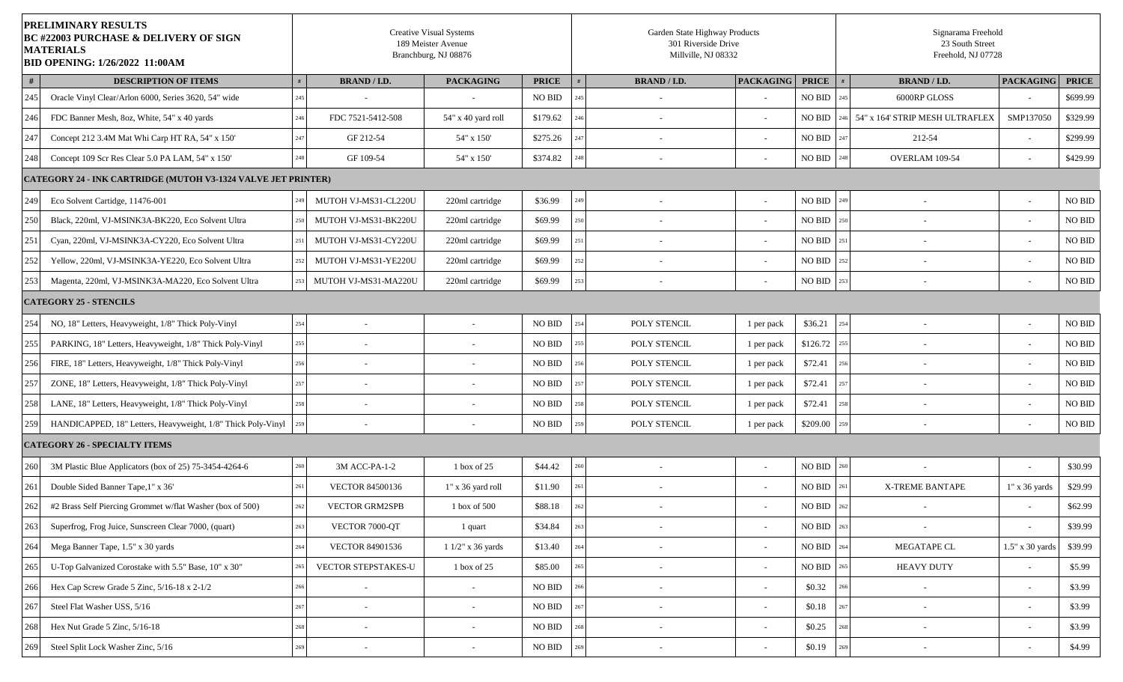|     | PRELIMINARY RESULTS<br><b>BC #22003 PURCHASE &amp; DELIVERY OF SIGN</b><br><b>MATERIALS</b><br><b>BID OPENING: 1/26/2022 11:00AM</b> |     |                          | <b>Creative Visual Systems</b><br>189 Meister Avenue<br>Branchburg, NJ 08876 |               | Garden State Highway Products<br>301 Riverside Drive<br>Millville, NJ 08332 |                  |               |     | Signarama Freehold<br>23 South Street<br>Freehold, NJ 07728 |                             |                    |
|-----|--------------------------------------------------------------------------------------------------------------------------------------|-----|--------------------------|------------------------------------------------------------------------------|---------------|-----------------------------------------------------------------------------|------------------|---------------|-----|-------------------------------------------------------------|-----------------------------|--------------------|
| #   | <b>DESCRIPTION OF ITEMS</b>                                                                                                          |     | <b>BRAND / I.D.</b>      | <b>PACKAGING</b>                                                             | <b>PRICE</b>  | <b>BRAND / I.D.</b>                                                         | <b>PACKAGING</b> | <b>PRICE</b>  |     | <b>BRAND / I.D.</b>                                         | <b>PACKAGING</b>            | <b>PRICE</b>       |
| 245 | Oracle Vinyl Clear/Arlon 6000, Series 3620, 54" wide                                                                                 | 245 |                          |                                                                              | <b>NO BID</b> |                                                                             |                  | <b>NO BID</b> | 245 | 6000RP GLOSS                                                | $\mathcal{L}_{\mathcal{A}}$ | \$699.99           |
| 246 | FDC Banner Mesh, 8oz, White, 54" x 40 yards                                                                                          |     | FDC 7521-5412-508        | 54" x 40 yard roll                                                           | \$179.62      |                                                                             |                  | <b>NO BID</b> |     | 54" x 164' STRIP MESH ULTRAFLEX                             | SMP137050                   | \$329.99           |
| 247 | Concept 212 3.4M Mat Whi Carp HT RA, 54" x 150'                                                                                      |     | GF 212-54                | 54" x 150'                                                                   | \$275.26      | $\overline{\phantom{a}}$                                                    |                  | <b>NO BID</b> | 247 | 212-54                                                      | $\sim$                      | \$299.99           |
| 248 | Concept 109 Scr Res Clear 5.0 PA LAM, 54" x 150'                                                                                     | 248 | GF 109-54                | 54" x 150'                                                                   | \$374.82      | $\overline{\phantom{a}}$                                                    |                  | NO BID        | 248 | OVERLAM 109-54                                              | $\sim$                      | \$429.99           |
|     | <b>CATEGORY 24 - INK CARTRIDGE (MUTOH V3-1324 VALVE JET PRINTER)</b>                                                                 |     |                          |                                                                              |               |                                                                             |                  |               |     |                                                             |                             |                    |
| 249 | Eco Solvent Cartidge, 11476-001                                                                                                      |     | MUTOH VJ-MS31-CL220U     | 220ml cartridge                                                              | \$36.99       |                                                                             |                  | <b>NO BID</b> |     |                                                             | $\overline{\phantom{a}}$    | NO BID             |
| 250 | Black, 220ml, VJ-MSINK3A-BK220, Eco Solvent Ultra                                                                                    |     | MUTOH VJ-MS31-BK220U     | 220ml cartridge                                                              | \$69.99       |                                                                             |                  | <b>NO BID</b> |     |                                                             | $\sim$                      | NO BID             |
| 251 | Cyan, 220ml, VJ-MSINK3A-CY220, Eco Solvent Ultra                                                                                     |     | MUTOH VJ-MS31-CY220U     | 220ml cartridge                                                              | \$69.99       |                                                                             |                  | <b>NO BID</b> | 251 |                                                             | $\overline{\phantom{a}}$    | NO BID             |
| 252 | Yellow, 220ml, VJ-MSINK3A-YE220, Eco Solvent Ultra                                                                                   |     | MUTOH VJ-MS31-YE220U     | 220ml cartridge                                                              | \$69.99       |                                                                             |                  | <b>NO BID</b> | 252 |                                                             | $\overline{\phantom{a}}$    | NO BID             |
| 253 | Magenta, 220ml, VJ-MSINK3A-MA220, Eco Solvent Ultra                                                                                  |     | MUTOH VJ-MS31-MA220U     | 220ml cartridge                                                              | \$69.99       |                                                                             |                  | NO BID        | 253 |                                                             | $\overline{\phantom{a}}$    | NO BID             |
|     | <b>CATEGORY 25 - STENCILS</b>                                                                                                        |     |                          |                                                                              |               |                                                                             |                  |               |     |                                                             |                             |                    |
| 254 | NO, 18" Letters, Heavyweight, 1/8" Thick Poly-Vinyl                                                                                  | 254 | $\sim$                   | $\sim$                                                                       | NO BID        | <b>POLY STENCIL</b>                                                         | 1 per pack       | \$36.21       | 254 | $\overline{\phantom{a}}$                                    | $\sim$                      | $\rm NO$ $\rm BID$ |
| 255 | PARKING, 18" Letters, Heavyweight, 1/8" Thick Poly-Vinyl                                                                             | 255 |                          |                                                                              | NO BID        | POLY STENCIL                                                                | 1 per pack       | \$126.72      | 255 |                                                             | $\sim$                      | $\rm NO$ $\rm BID$ |
| 256 | FIRE, 18" Letters, Heavyweight, 1/8" Thick Poly-Vinyl                                                                                |     |                          |                                                                              | NO BID        | POLY STENCIL                                                                | 1 per pack       | \$72.41       |     |                                                             | $\sim$                      | NO BID             |
| 257 | ZONE, 18" Letters, Heavyweight, 1/8" Thick Poly-Vinyl                                                                                |     |                          |                                                                              | NO BID        | POLY STENCIL                                                                | 1 per pack       | \$72.41       |     |                                                             | $\sim$                      | $\rm NO$ $\rm BID$ |
| 258 | LANE, 18" Letters, Heavyweight, 1/8" Thick Poly-Vinyl                                                                                | 258 | $\sim$                   |                                                                              | <b>NO BID</b> | POLY STENCIL                                                                | 1 per pack       | \$72.41       |     | $\overline{\phantom{a}}$                                    | $\overline{\phantom{a}}$    | $\rm NO$ $\rm BID$ |
| 259 | HANDICAPPED, 18" Letters, Heavyweight, 1/8" Thick Poly-Vinyl                                                                         |     |                          |                                                                              | NO BID        | POLY STENCIL                                                                | 1 per pack       | \$209.00      |     |                                                             | $\sim$                      | NO BID             |
|     | <b>CATEGORY 26 - SPECIALTY ITEMS</b>                                                                                                 |     |                          |                                                                              |               |                                                                             |                  |               |     |                                                             |                             |                    |
| 260 | 3M Plastic Blue Applicators (box of 25) 75-3454-4264-6                                                                               |     | 3M ACC-PA-1-2            | $1$ box of 25                                                                | \$44.42       |                                                                             |                  | <b>NO BID</b> |     |                                                             |                             | \$30.99            |
| 261 | Double Sided Banner Tape, 1" x 36"                                                                                                   |     | <b>VECTOR 84500136</b>   | 1" x 36 yard roll                                                            | \$11.90       |                                                                             |                  | <b>NO BID</b> |     | <b>X-TREME BANTAPE</b>                                      | $1"$ x 36 yards             | \$29.99            |
| 262 | #2 Brass Self Piercing Grommet w/flat Washer (box of 500)                                                                            | 262 | <b>VECTOR GRM2SPB</b>    | 1 box of 500                                                                 | \$88.18       |                                                                             |                  | <b>NO BID</b> | 262 | $\sim$                                                      | $\sim$                      | \$62.99            |
| 263 | Superfrog, Frog Juice, Sunscreen Clear 7000, (quart)                                                                                 | 263 | VECTOR 7000-QT           | 1 quart                                                                      | \$34.84       |                                                                             |                  | NO BID        | 263 |                                                             |                             | \$39.99            |
| 264 | Mega Banner Tape, 1.5" x 30 yards                                                                                                    |     | VECTOR 84901536          | 1 1/2" x 36 yards                                                            | \$13.40       | $\sim$                                                                      |                  | NO BID        |     | MEGATAPE CL                                                 | 1.5" x 30 yards             | \$39.99            |
| 265 | U-Top Galvanized Corostake with 5.5" Base, 10" x 30"                                                                                 |     | VECTOR STEPSTAKES-U      | 1 box of 25                                                                  | \$85.00       | $\sim$                                                                      |                  | NO BID        |     | <b>HEAVY DUTY</b>                                           | $\overline{\phantom{a}}$    | \$5.99             |
| 266 | Hex Cap Screw Grade 5 Zinc, 5/16-18 x 2-1/2                                                                                          |     |                          | $\overline{\phantom{a}}$                                                     | NO BID        | $\overline{\phantom{a}}$                                                    | $\sim$           | \$0.32        |     |                                                             | $\overline{\phantom{a}}$    | \$3.99             |
| 267 | Steel Flat Washer USS, 5/16                                                                                                          |     |                          |                                                                              | NO BID        |                                                                             |                  | \$0.18        |     |                                                             | $\overline{\phantom{a}}$    | \$3.99             |
| 268 | Hex Nut Grade 5 Zinc, 5/16-18                                                                                                        |     | $\sim$                   | $\sim$                                                                       | NO BID        | $\sim$                                                                      | $\sim$           | \$0.25        |     | $\overline{\phantom{a}}$                                    | $\overline{\phantom{a}}$    | \$3.99             |
| 269 | Steel Split Lock Washer Zinc, 5/16                                                                                                   |     | $\overline{\phantom{a}}$ | $\sim$                                                                       | NO BID        | $\sim$                                                                      |                  | \$0.19        |     |                                                             | $\overline{\phantom{a}}$    | \$4.99             |